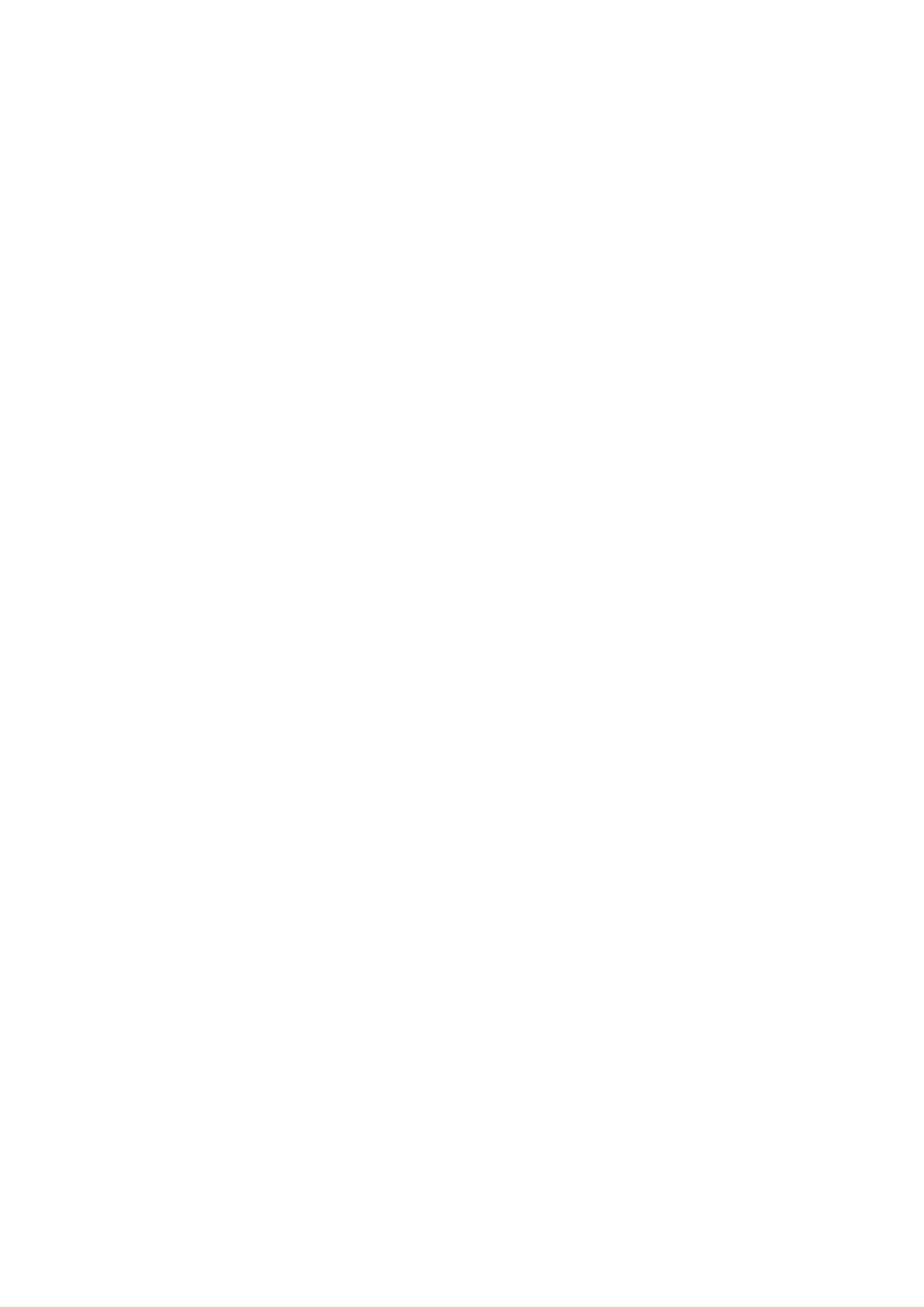# **Active Childre young**<br>An overview of rece December 2009

*Dr Jan Garrard* 

www.vichealth.vic.gov.au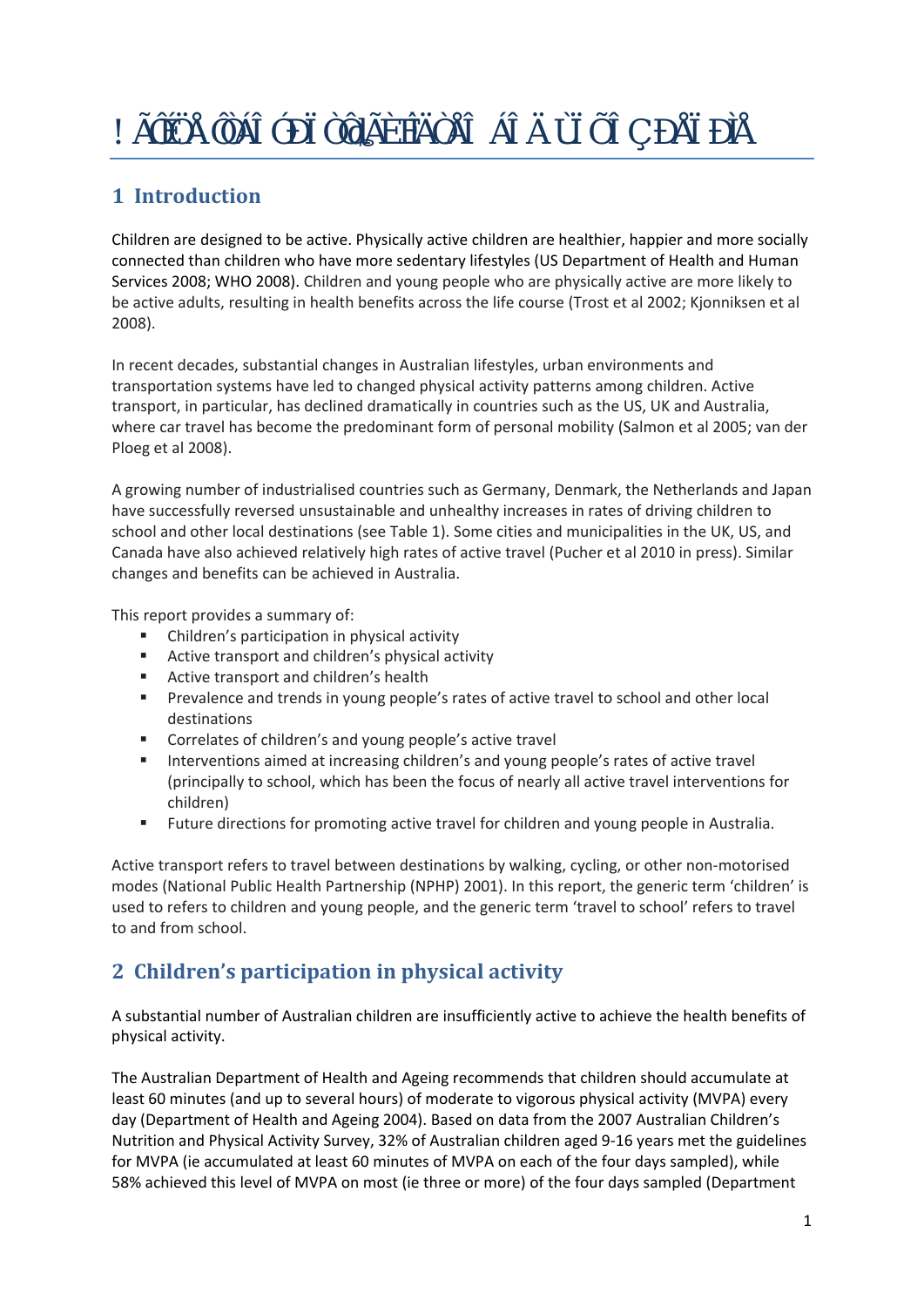# **1 Introduction**

Children are designed to be active. Physically active children are healthier, happier and more socially connected than children who have more sedentary lifestyles (US Department of Health and Human Services 2008; WHO 2008). Children and young people who are physically active are more likely to be active adults, resulting in health benefits across the life course (Trost et al 2002; Kjonniksen et al 2008).

In recent decades, substantial changes in Australian lifestyles, urban environments and transportation systems have led to changed physical activity patterns among children. Active transport, in particular, has declined dramatically in countries such as the US, UK and Australia, where car travel has become the predominant form of personal mobility (Salmon et al 2005; van der Ploeg et al 2008).

A growing number of industrialised countries such as Germany, Denmark, the Netherlands and Japan have successfully reversed unsustainable and unhealthy increases in rates of driving children to school and other local destinations (see Table 1). Some cities and municipalities in the UK, US, and Canada have also achieved relatively high rates of active travel (Pucher et al 2010 in press). Similar changes and benefits can be achieved in Australia.

This report provides a summary of:

- Children's participation in physical activity
- **EXECT:** Active transport and children's physical activity
- **Active transport and children's health**
- **Prevalence and trends in young people's rates of active travel to school and other local** destinations
- Correlates of children's and young people's active travel
- Interventions aimed at increasing children's and young people's rates of active travel (principally to school, which has been the focus of nearly all active travel interventions for children)
- Future directions for promoting active travel for children and young people in Australia.

Active transport refers to travel between destinations by walking, cycling, or other non‐motorised modes (National Public Health Partnership (NPHP) 2001). In this report, the generic term 'children' is used to refers to children and young people, and the generic term 'travel to school' refers to travel to and from school.

# **2 Children's participation in physical activity**

A substantial number of Australian children are insufficiently active to achieve the health benefits of physical activity.

The Australian Department of Health and Ageing recommends that children should accumulate at least 60 minutes (and up to several hours) of moderate to vigorous physical activity (MVPA) every day (Department of Health and Ageing 2004). Based on data from the 2007 Australian Children's Nutrition and Physical Activity Survey, 32% of Australian children aged 9‐16 years met the guidelines for MVPA (ie accumulated at least 60 minutes of MVPA on each of the four days sampled), while 58% achieved this level of MVPA on most (ie three or more) of the four days sampled (Department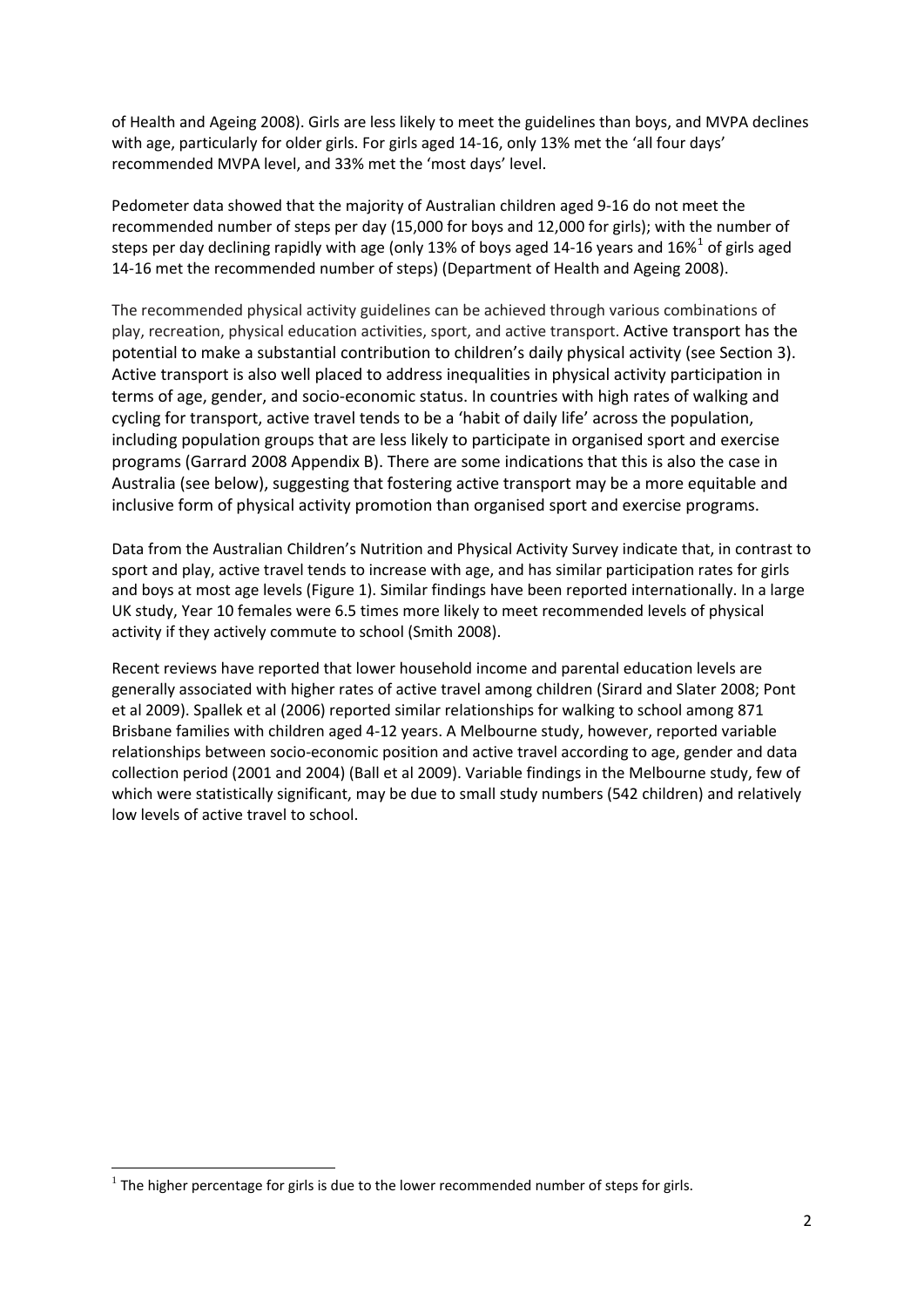of Health and Ageing 2008). Girls are less likely to meet the guidelines than boys, and MVPA declines with age, particularly for older girls. For girls aged 14-16, only 13% met the 'all four days' recommended MVPA level, and 33% met the 'most days' level.

Pedometer data showed that the majority of Australian children aged 9‐16 do not meet the recommended number of steps per day (15,000 for boys and 12,000 for girls); with the number of steps per day declining rapidly with age (only [1](#page-2-0)3% of boys aged 14-16 years and 16% $1/16$  of girls aged 14‐16 met the recommended number of steps) (Department of Health and Ageing 2008).

The recommended physical activity guidelines can be achieved through various combinations of play, recreation, physical education activities, sport, and active transport. Active transport has the potential to make a substantial contribution to children's daily physical activity (see Section 3). Active transport is also well placed to address inequalities in physical activity participation in terms of age, gender, and socio‐economic status. In countries with high rates of walking and cycling for transport, active travel tends to be a 'habit of daily life' across the population, including population groups that are less likely to participate in organised sport and exercise programs (Garrard 2008 Appendix B). There are some indications that this is also the case in Australia (see below), suggesting that fostering active transport may be a more equitable and inclusive form of physical activity promotion than organised sport and exercise programs.

Data from the Australian Children's Nutrition and Physical Activity Survey indicate that, in contrast to sport and play, active travel tends to increase with age, and has similar participation rates for girls and boys at most age levels (Figure 1). Similar findings have been reported internationally. In a large UK study, Year 10 females were 6.5 times more likely to meet recommended levels of physical activity if they actively commute to school (Smith 2008).

Recent reviews have reported that lower household income and parental education levels are generally associated with higher rates of active travel among children (Sirard and Slater 2008; Pont et al 2009). Spallek et al (2006) reported similar relationships for walking to school among 871 Brisbane families with children aged 4‐12 years. A Melbourne study, however, reported variable relationships between socio‐economic position and active travel according to age, gender and data collection period (2001 and 2004) (Ball et al 2009). Variable findings in the Melbourne study, few of which were statistically significant, may be due to small study numbers (542 children) and relatively low levels of active travel to school.

<span id="page-2-0"></span> $<sup>1</sup>$  The higher percentage for girls is due to the lower recommended number of steps for girls.</sup>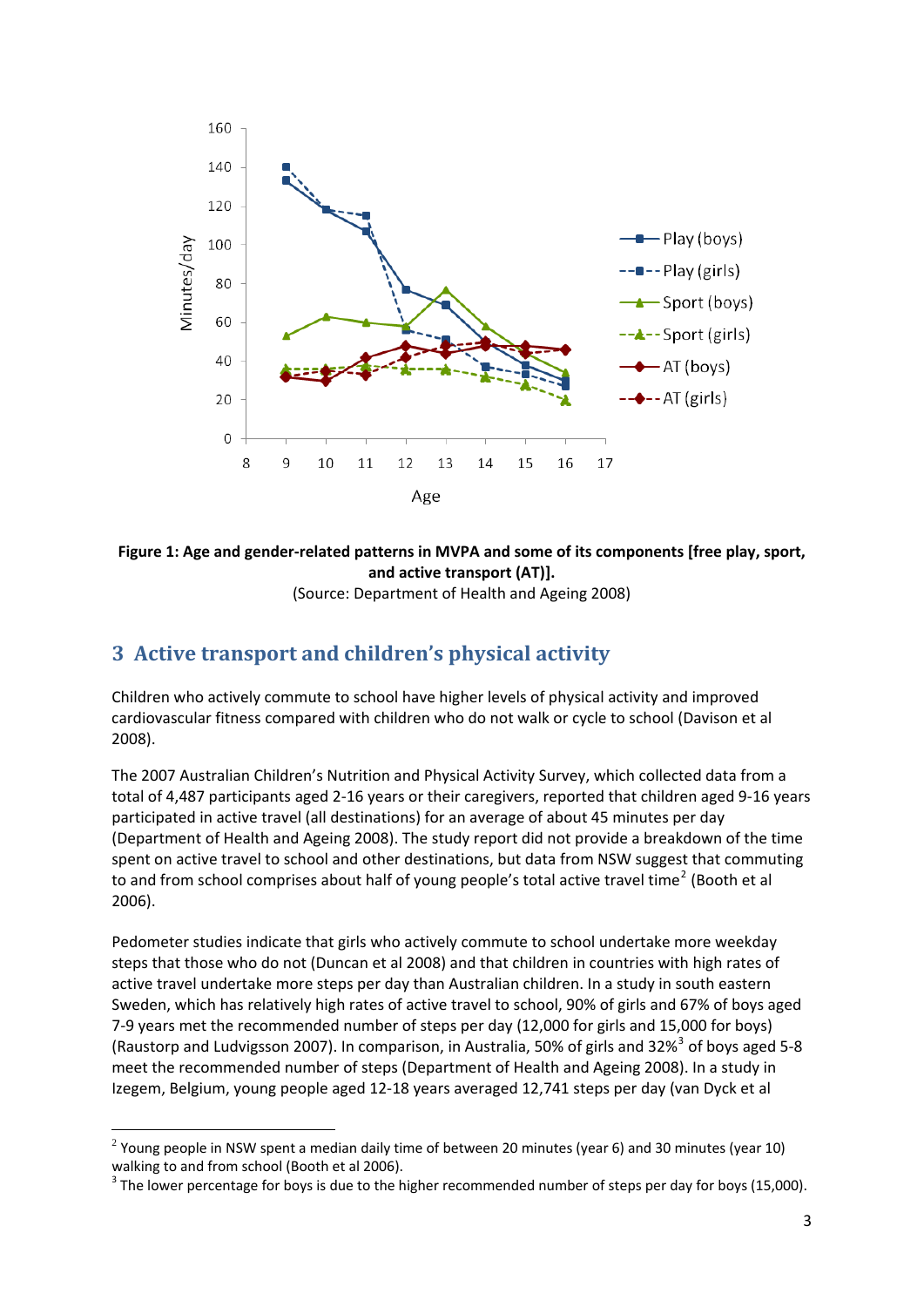

**Figure 1: Age and gender‐related patterns in MVPA and some of its components [free play, sport, and active transport (AT)].** (Source: Department of Health and Ageing 2008)

## **3 Active transport and children's physical activity**

Children who actively commute to school have higher levels of physical activity and improved cardiovascular fitness compared with children who do not walk or cycle to school (Davison et al 2008).

The 2007 Australian Children's Nutrition and Physical Activity Survey, which collected data from a total of 4,487 participants aged 2‐16 years or their caregivers, reported that children aged 9‐16 years participated in active travel (all destinations) for an average of about 45 minutes per day (Department of Health and Ageing 2008). The study report did not provide a breakdown of the time spent on active travel to school and other destinations, but data from NSW suggest that commuting to and from school comprises about half of young people's total active travel time<sup>[2](#page-3-0)</sup> (Booth et al 2006).

Pedometer studies indicate that girls who actively commute to school undertake more weekday steps that those who do not (Duncan et al 2008) and that children in countries with high rates of active travel undertake more steps per day than Australian children. In a study in south eastern Sweden, which has relatively high rates of active travel to school, 90% of girls and 67% of boys aged 7‐9 years met the recommended number of steps per day (12,000 for girls and 15,000 for boys) (Raustorp and Ludvigsson 2007). In comparison, in Australia, 50% of girls and [3](#page-3-1)2%<sup>3</sup> of boys aged 5-8 meet the recommended number of steps (Department of Health and Ageing 2008). In a study in Izegem, Belgium, young people aged 12‐18 years averaged 12,741 steps per day (van Dyck et al

<span id="page-3-0"></span><sup>&</sup>lt;sup>2</sup> Young people in NSW spent a median daily time of between 20 minutes (year 6) and 30 minutes (year 10) walking to and from school (Booth et al 2006).<br><sup>3</sup> The lower percentage for boys is due to the higher recommended number of steps per day for boys (15,000).

<span id="page-3-1"></span>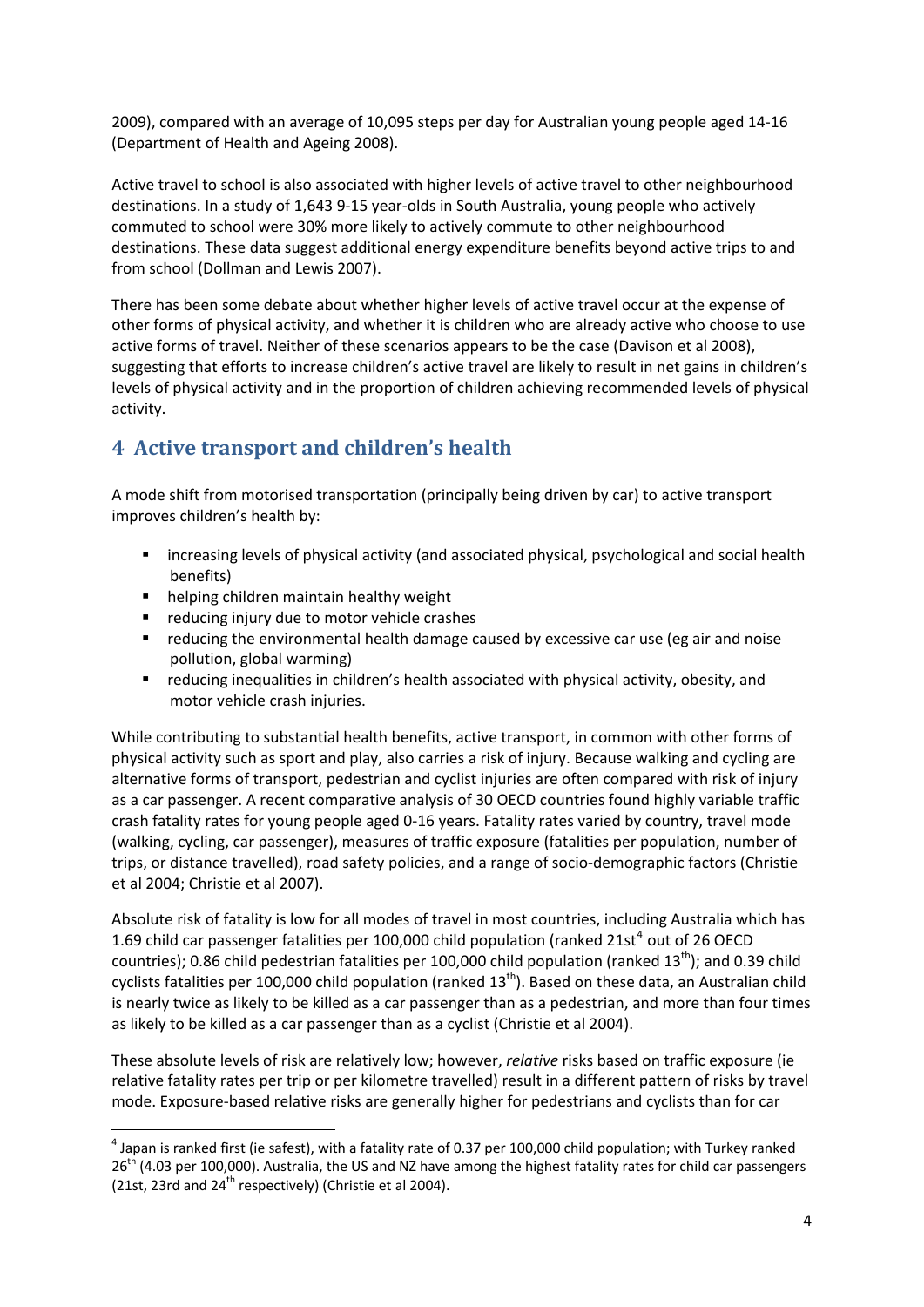2009), compared with an average of 10,095 steps per day for Australian young people aged 14‐16 (Department of Health and Ageing 2008).

Active travel to school is also associated with higher levels of active travel to other neighbourhood destinations. In a study of 1,643 9‐15 year‐olds in South Australia, young people who actively commuted to school were 30% more likely to actively commute to other neighbourhood destinations. These data suggest additional energy expenditure benefits beyond active trips to and from school (Dollman and Lewis 2007).

There has been some debate about whether higher levels of active travel occur at the expense of other forms of physical activity, and whether it is children who are already active who choose to use active forms of travel. Neither of these scenarios appears to be the case (Davison et al 2008), suggesting that efforts to increase children's active travel are likely to result in net gains in children's levels of physical activity and in the proportion of children achieving recommended levels of physical activity.

# **4 Active transport and children's health**

A mode shift from motorised transportation (principally being driven by car) to active transport improves children's health by:

- increasing levels of physical activity (and associated physical, psychological and social health benefits)
- **•** helping children maintain healthy weight

- reducing injury due to motor vehicle crashes
- **•** reducing the environmental health damage caused by excessive car use (eg air and noise pollution, global warming)
- reducing inequalities in children's health associated with physical activity, obesity, and motor vehicle crash injuries.

While contributing to substantial health benefits, active transport, in common with other forms of physical activity such as sport and play, also carries a risk of injury. Because walking and cycling are alternative forms of transport, pedestrian and cyclist injuries are often compared with risk of injury as a car passenger. A recent comparative analysis of 30 OECD countries found highly variable traffic crash fatality rates for young people aged 0‐16 years. Fatality rates varied by country, travel mode (walking, cycling, car passenger), measures of traffic exposure (fatalities per population, number of trips, or distance travelled), road safety policies, and a range of socio‐demographic factors (Christie et al 2004; Christie et al 2007).

Absolute risk of fatality is low for all modes of travel in most countries, including Australia which has 1.69 child car passenger fatalities per 100,000 child population (ranked  $21st^4$  $21st^4$  out of 26 OECD countries); 0.86 child pedestrian fatalities per 100,000 child population (ranked  $13<sup>th</sup>$ ); and 0.39 child cyclists fatalities per 100,000 child population (ranked  $13<sup>th</sup>$ ). Based on these data, an Australian child is nearly twice as likely to be killed as a car passenger than as a pedestrian, and more than four times as likely to be killed as a car passenger than as a cyclist (Christie et al 2004).

These absolute levels of risk are relatively low; however, *relative* risks based on traffic exposure (ie relative fatality rates per trip or per kilometre travelled) result in a different pattern of risks by travel mode. Exposure‐based relative risks are generally higher for pedestrians and cyclists than for car

<span id="page-4-0"></span> $<sup>4</sup>$  Japan is ranked first (ie safest), with a fatality rate of 0.37 per 100,000 child population; with Turkey ranked</sup> 26<sup>th</sup> (4.03 per 100,000). Australia, the US and NZ have among the highest fatality rates for child car passengers (21st, 23rd and  $24<sup>th</sup>$  respectively) (Christie et al 2004).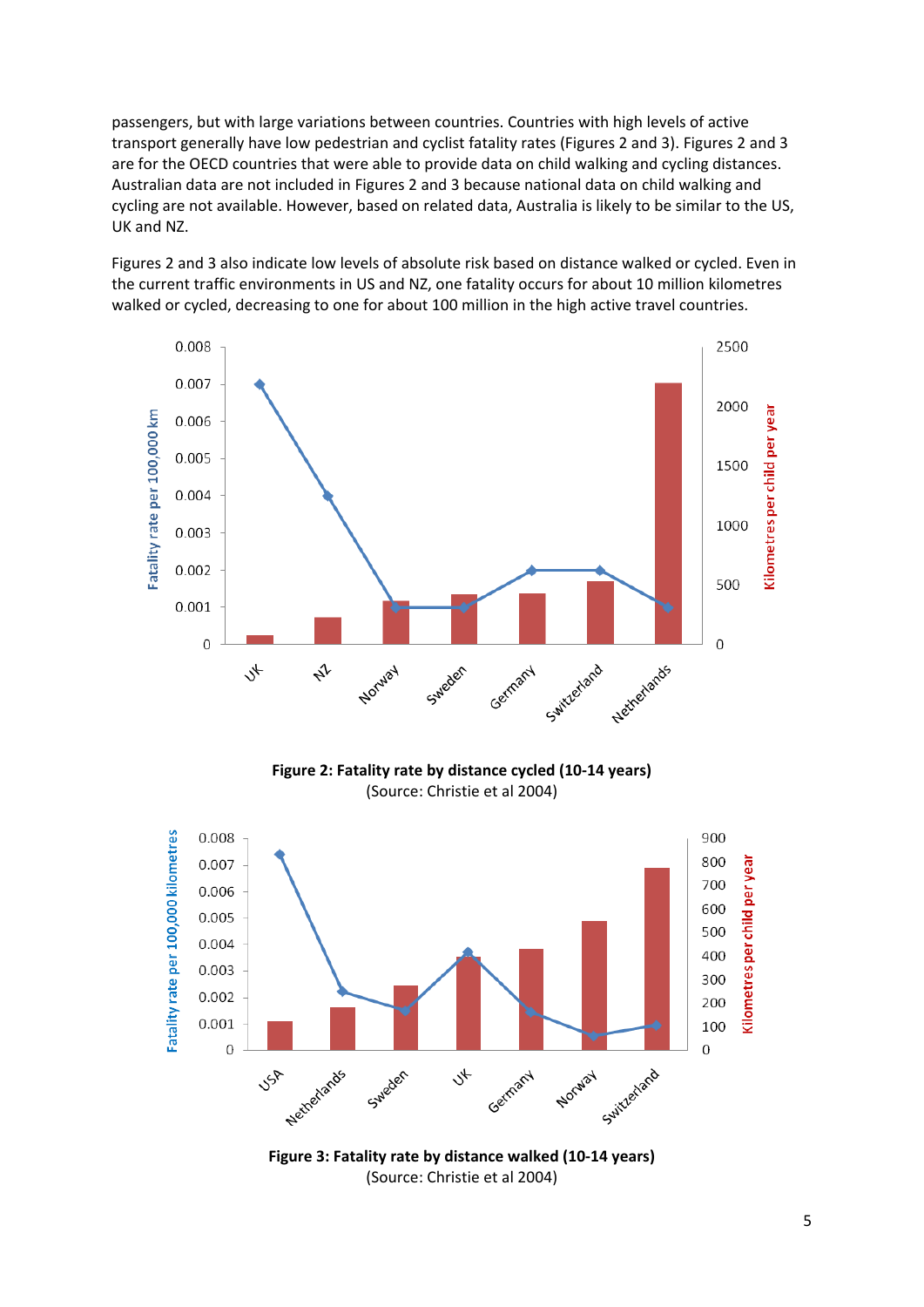passengers, but with large variations between countries. Countries with high levels of active transport generally have low pedestrian and cyclist fatality rates (Figures 2 and 3). Figures 2 and 3 are for the OECD countries that were able to provide data on child walking and cycling distances. Australian data are not included in Figures 2 and 3 because national data on child walking and cycling are not available. However, based on related data, Australia is likely to be similar to the US, UK and NZ.

Figures 2 and 3 also indicate low levels of absolute risk based on distance walked or cycled. Even in the current traffic environments in US and NZ, one fatality occurs for about 10 million kilometres walked or cycled, decreasing to one for about 100 million in the high active travel countries.



(Source: Christie et al 2004)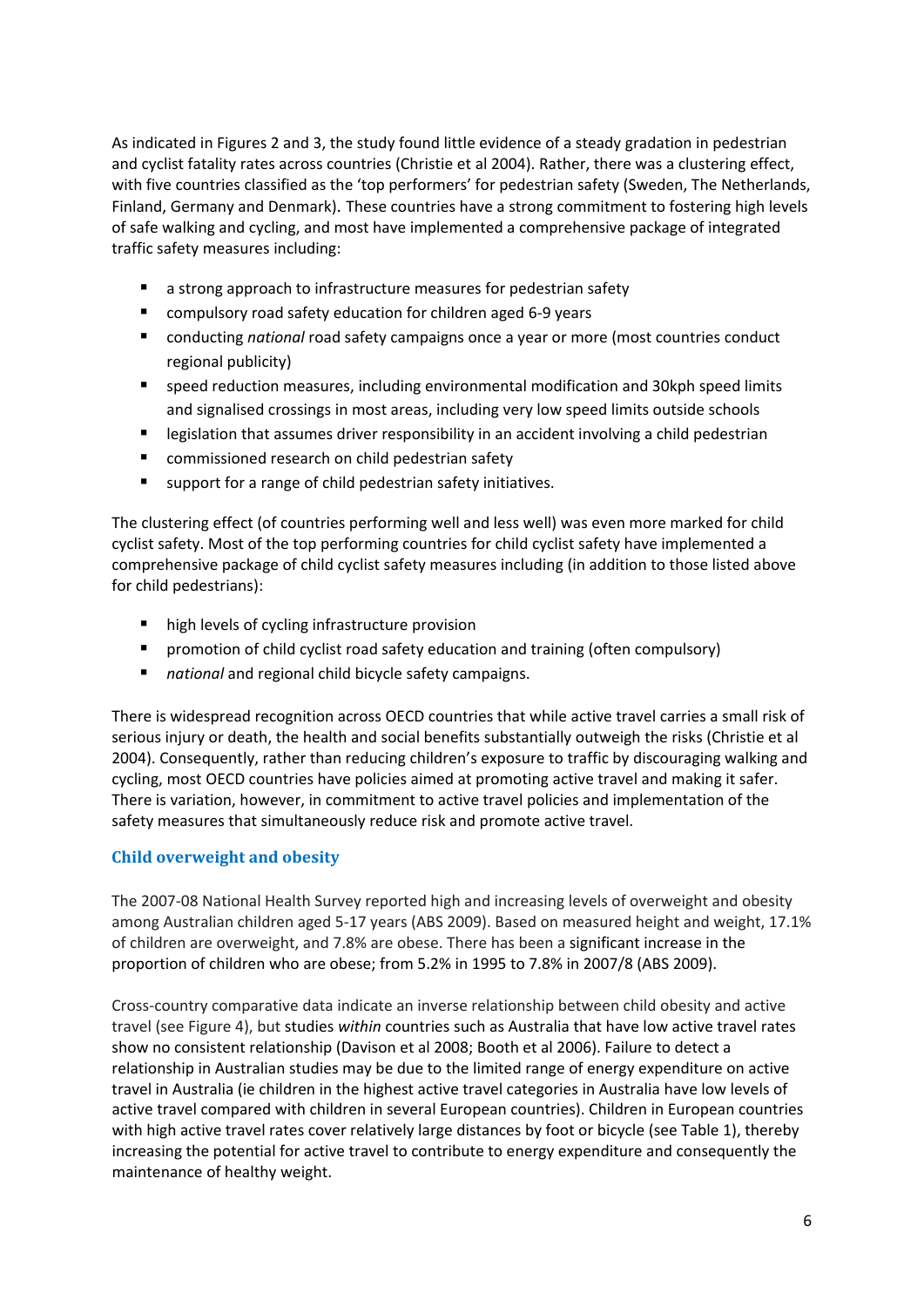As indicated in Figures 2 and 3, the study found little evidence of a steady gradation in pedestrian and cyclist fatality rates across countries (Christie et al 2004). Rather, there was a clustering effect, with five countries classified as the 'top performers' for pedestrian safety (Sweden, The Netherlands, Finland, Germany and Denmark). These countries have a strong commitment to fostering high levels of safe walking and cycling, and most have implemented a comprehensive package of integrated traffic safety measures including:

- a strong approach to infrastructure measures for pedestrian safety
- compulsory road safety education for children aged 6-9 years
- conducting *national* road safety campaigns once a year or more (most countries conduct regional publicity)
- speed reduction measures, including environmental modification and 30kph speed limits and signalised crossings in most areas, including very low speed limits outside schools
- legislation that assumes driver responsibility in an accident involving a child pedestrian
- commissioned research on child pedestrian safety
- support for a range of child pedestrian safety initiatives.

The clustering effect (of countries performing well and less well) was even more marked for child cyclist safety. Most of the top performing countries for child cyclist safety have implemented a comprehensive package of child cyclist safety measures including (in addition to those listed above for child pedestrians):

- high levels of cycling infrastructure provision
- promotion of child cyclist road safety education and training (often compulsory)
- *national* and regional child bicycle safety campaigns.

There is widespread recognition across OECD countries that while active travel carries a small risk of serious injury or death, the health and social benefits substantially outweigh the risks (Christie et al 2004). Consequently, rather than reducing children's exposure to traffic by discouraging walking and cycling, most OECD countries have policies aimed at promoting active travel and making it safer. There is variation, however, in commitment to active travel policies and implementation of the safety measures that simultaneously reduce risk and promote active travel.

### **Child overweight and obesity**

The 2007‐08 National Health Survey reported high and increasing levels of overweight and obesity among Australian children aged 5‐17 years (ABS 2009). Based on measured height and weight, 17.1% of children are overweight, and 7.8% are obese. There has been a significant increase in the proportion of children who are obese; from 5.2% in 1995 to 7.8% in 2007/8 (ABS 2009).

Cross‐country comparative data indicate an inverse relationship between child obesity and active travel (see Figure 4), but studies *within* countries such as Australia that have low active travel rates show no consistent relationship (Davison et al 2008; Booth et al 2006). Failure to detect a relationship in Australian studies may be due to the limited range of energy expenditure on active travel in Australia (ie children in the highest active travel categories in Australia have low levels of active travel compared with children in several European countries). Children in European countries with high active travel rates cover relatively large distances by foot or bicycle (see Table 1), thereby increasing the potential for active travel to contribute to energy expenditure and consequently the maintenance of healthy weight.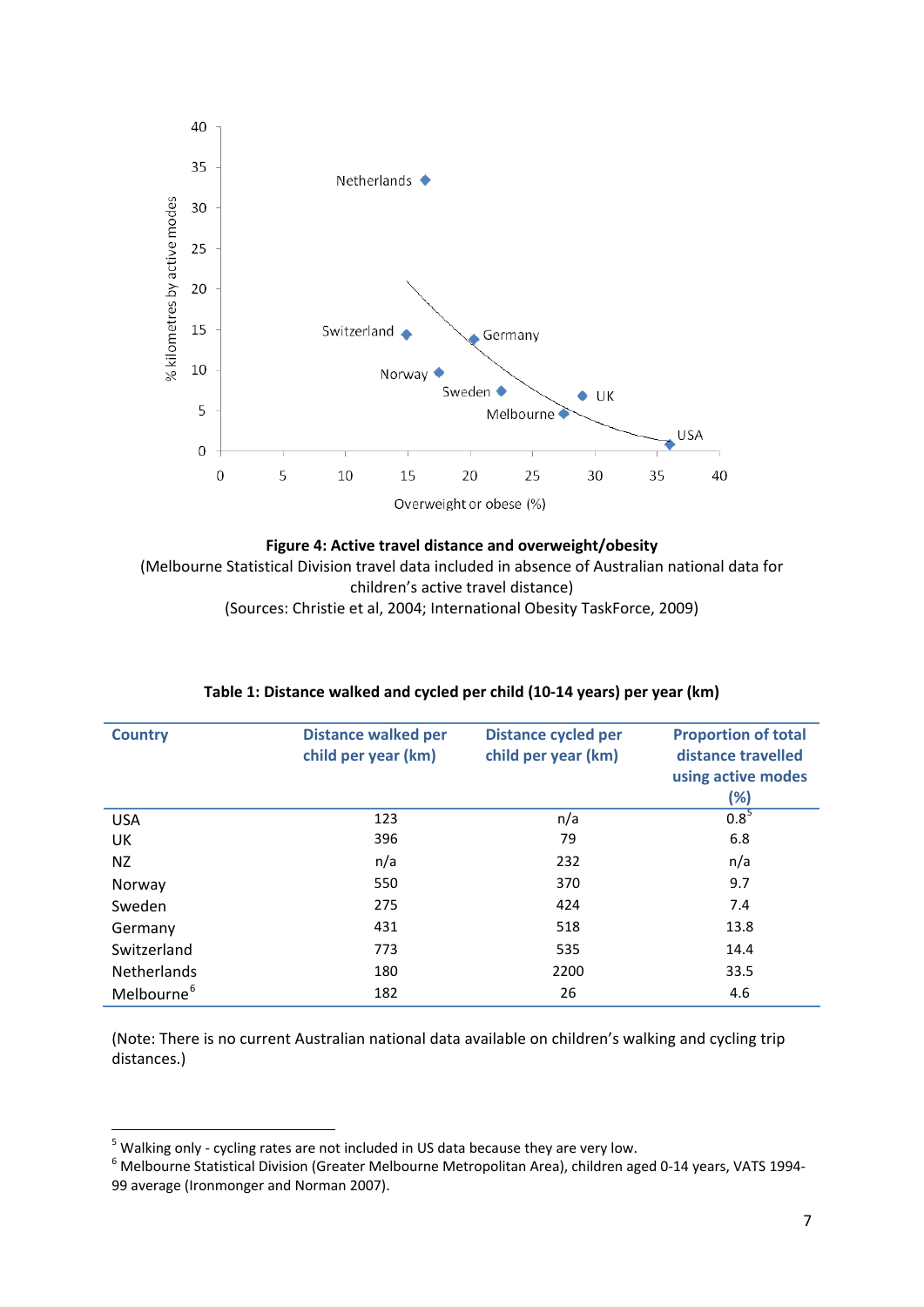

**Figure 4: Active travel distance and overweight/obesity** (Melbourne Statistical Division travel data included in absence of Australian national data for children's active travel distance) (Sources: Christie et al, 2004; International Obesity TaskForce, 2009)

| <b>Country</b>         | <b>Distance walked per</b><br>child per year (km) | <b>Distance cycled per</b><br>child per year (km) | <b>Proportion of total</b><br>distance travelled<br>using active modes<br>(%) |
|------------------------|---------------------------------------------------|---------------------------------------------------|-------------------------------------------------------------------------------|
| <b>USA</b>             | 123                                               | n/a                                               | $0.8^{5}$                                                                     |
| UK                     | 396                                               | 79                                                | 6.8                                                                           |
| <b>NZ</b>              | n/a                                               | 232                                               | n/a                                                                           |
| Norway                 | 550                                               | 370                                               | 9.7                                                                           |
| Sweden                 | 275                                               | 424                                               | 7.4                                                                           |
| Germany                | 431                                               | 518                                               | 13.8                                                                          |
| Switzerland            | 773                                               | 535                                               | 14.4                                                                          |
| <b>Netherlands</b>     | 180                                               | 2200                                              | 33.5                                                                          |
| Melbourne <sup>6</sup> | 182                                               | 26                                                | 4.6                                                                           |

(Note: There is no current Australian national data available on children's walking and cycling trip distances.)

<span id="page-7-0"></span> $5$  Walking only - cycling rates are not included in US data because they are very low.

<span id="page-7-1"></span><sup>5</sup> Walking only ‐ cycling rates are not included in US data because they are very low. <sup>6</sup> Melbourne Statistical Division (Greater Melbourne Metropolitan Area), children aged <sup>0</sup>‐<sup>14</sup> years, VATS <sup>1994</sup>‐ 99 average (Ironmonger and Norman 2007).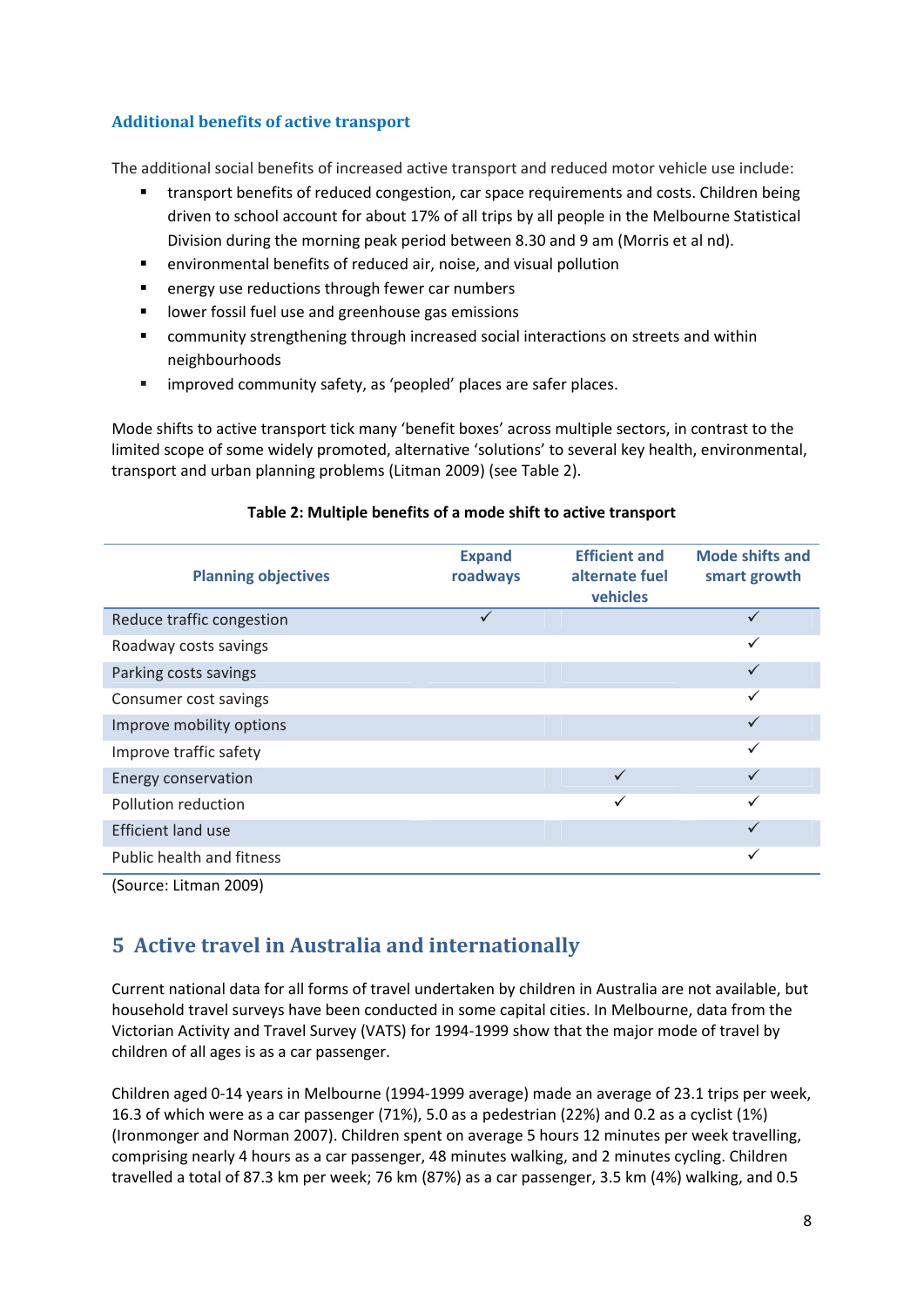#### **Additional benefits of active transport**

The additional social benefits of increased active transport and reduced motor vehicle use include:

- transport benefits of reduced congestion, car space requirements and costs. Children being driven to school account for about 17% of all trips by all people in the Melbourne Statistical Division during the morning peak period between 8.30 and 9 am (Morris et al nd).
- environmental benefits of reduced air, noise, and visual pollution
- **EXECTE:** energy use reductions through fewer car numbers
- **IDED** lower fossil fuel use and greenhouse gas emissions
- community strengthening through increased social interactions on streets and within neighbourhoods
- **F** improved community safety, as 'peopled' places are safer places.

Mode shifts to active transport tick many 'benefit boxes' across multiple sectors, in contrast to the limited scope of some widely promoted, alternative 'solutions' to several key health, environmental, transport and urban planning problems (Litman 2009) (see Table 2).

| <b>Planning objectives</b> | <b>Expand</b><br>roadways | <b>Efficient and</b><br>alternate fuel<br>vehicles | <b>Mode shifts and</b><br>smart growth |
|----------------------------|---------------------------|----------------------------------------------------|----------------------------------------|
| Reduce traffic congestion  | $\checkmark$              |                                                    | ✓                                      |
| Roadway costs savings      |                           |                                                    |                                        |
| Parking costs savings      |                           |                                                    |                                        |
| Consumer cost savings      |                           |                                                    |                                        |
| Improve mobility options   |                           |                                                    |                                        |
| Improve traffic safety     |                           |                                                    | ✓                                      |
| Energy conservation        |                           | $\checkmark$                                       |                                        |
| Pollution reduction        |                           | ✓                                                  | ✓                                      |
| <b>Efficient land use</b>  |                           |                                                    |                                        |
| Public health and fitness  |                           |                                                    | ✓                                      |

#### **Table 2: Multiple benefits of a mode shift to active transport**

(Source: Litman 2009)

## **5 Active travel in Australia and internationally**

Current national data for all forms of travel undertaken by children in Australia are not available, but household travel surveys have been conducted in some capital cities. In Melbourne, data from the Victorian Activity and Travel Survey (VATS) for 1994‐1999 show that the major mode of travel by children of all ages is as a car passenger.

Children aged 0‐14 years in Melbourne (1994‐1999 average) made an average of 23.1 trips per week, 16.3 of which were as a car passenger (71%), 5.0 as a pedestrian (22%) and 0.2 as a cyclist (1%) (Ironmonger and Norman 2007). Children spent on average 5 hours 12 minutes per week travelling, comprising nearly 4 hours as a car passenger, 48 minutes walking, and 2 minutes cycling. Children travelled a total of 87.3 km per week; 76 km (87%) as a car passenger, 3.5 km (4%) walking, and 0.5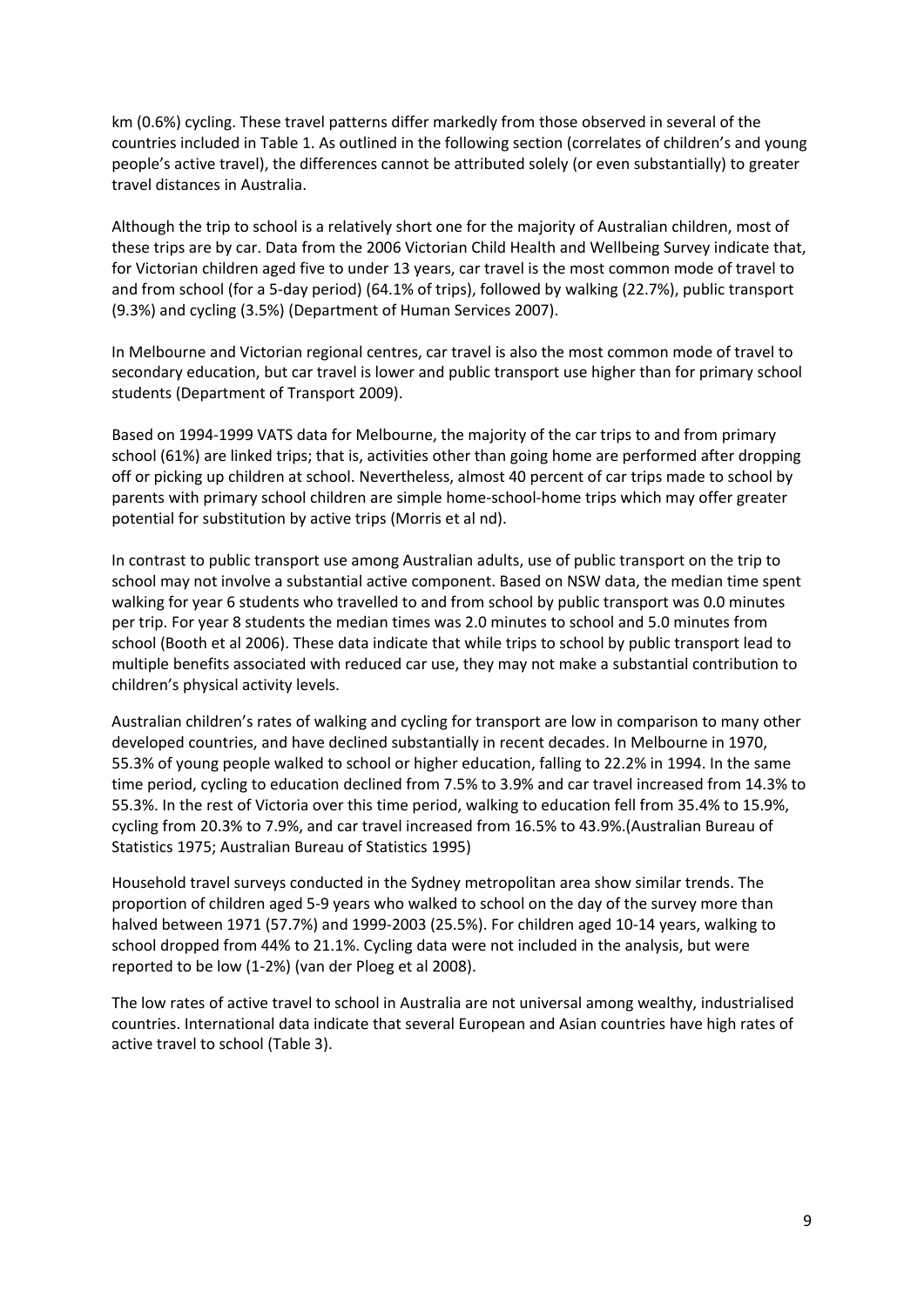km (0.6%) cycling. These travel patterns differ markedly from those observed in several of the countries included in Table 1. As outlined in the following section (correlates of children's and young people's active travel), the differences cannot be attributed solely (or even substantially) to greater travel distances in Australia.

Although the trip to school is a relatively short one for the majority of Australian children, most of these trips are by car. Data from the 2006 Victorian Child Health and Wellbeing Survey indicate that, for Victorian children aged five to under 13 years, car travel is the most common mode of travel to and from school (for a 5‐day period) (64.1% of trips), followed by walking (22.7%), public transport (9.3%) and cycling (3.5%) (Department of Human Services 2007).

In Melbourne and Victorian regional centres, car travel is also the most common mode of travel to secondary education, but car travel is lower and public transport use higher than for primary school students (Department of Transport 2009).

Based on 1994‐1999 VATS data for Melbourne, the majority of the car trips to and from primary school (61%) are linked trips; that is, activities other than going home are performed after dropping off or picking up children at school. Nevertheless, almost 40 percent of car trips made to school by parents with primary school children are simple home‐school‐home trips which may offer greater potential for substitution by active trips (Morris et al nd).

In contrast to public transport use among Australian adults, use of public transport on the trip to school may not involve a substantial active component. Based on NSW data, the median time spent walking for year 6 students who travelled to and from school by public transport was 0.0 minutes per trip. For year 8 students the median times was 2.0 minutes to school and 5.0 minutes from school (Booth et al 2006). These data indicate that while trips to school by public transport lead to multiple benefits associated with reduced car use, they may not make a substantial contribution to children's physical activity levels.

Australian children's rates of walking and cycling for transport are low in comparison to many other developed countries, and have declined substantially in recent decades. In Melbourne in 1970, 55.3% of young people walked to school or higher education, falling to 22.2% in 1994. In the same time period, cycling to education declined from 7.5% to 3.9% and car travel increased from 14.3% to 55.3%. In the rest of Victoria over this time period, walking to education fell from 35.4% to 15.9%, cycling from 20.3% to 7.9%, and car travel increased from 16.5% to 43.9%.(Australian Bureau of Statistics 1975; Australian Bureau of Statistics 1995)

Household travel surveys conducted in the Sydney metropolitan area show similar trends. The proportion of children aged 5‐9 years who walked to school on the day of the survey more than halved between 1971 (57.7%) and 1999‐2003 (25.5%). For children aged 10‐14 years, walking to school dropped from 44% to 21.1%. Cycling data were not included in the analysis, but were reported to be low (1‐2%) (van der Ploeg et al 2008).

The low rates of active travel to school in Australia are not universal among wealthy, industrialised countries. International data indicate that several European and Asian countries have high rates of active travel to school (Table 3).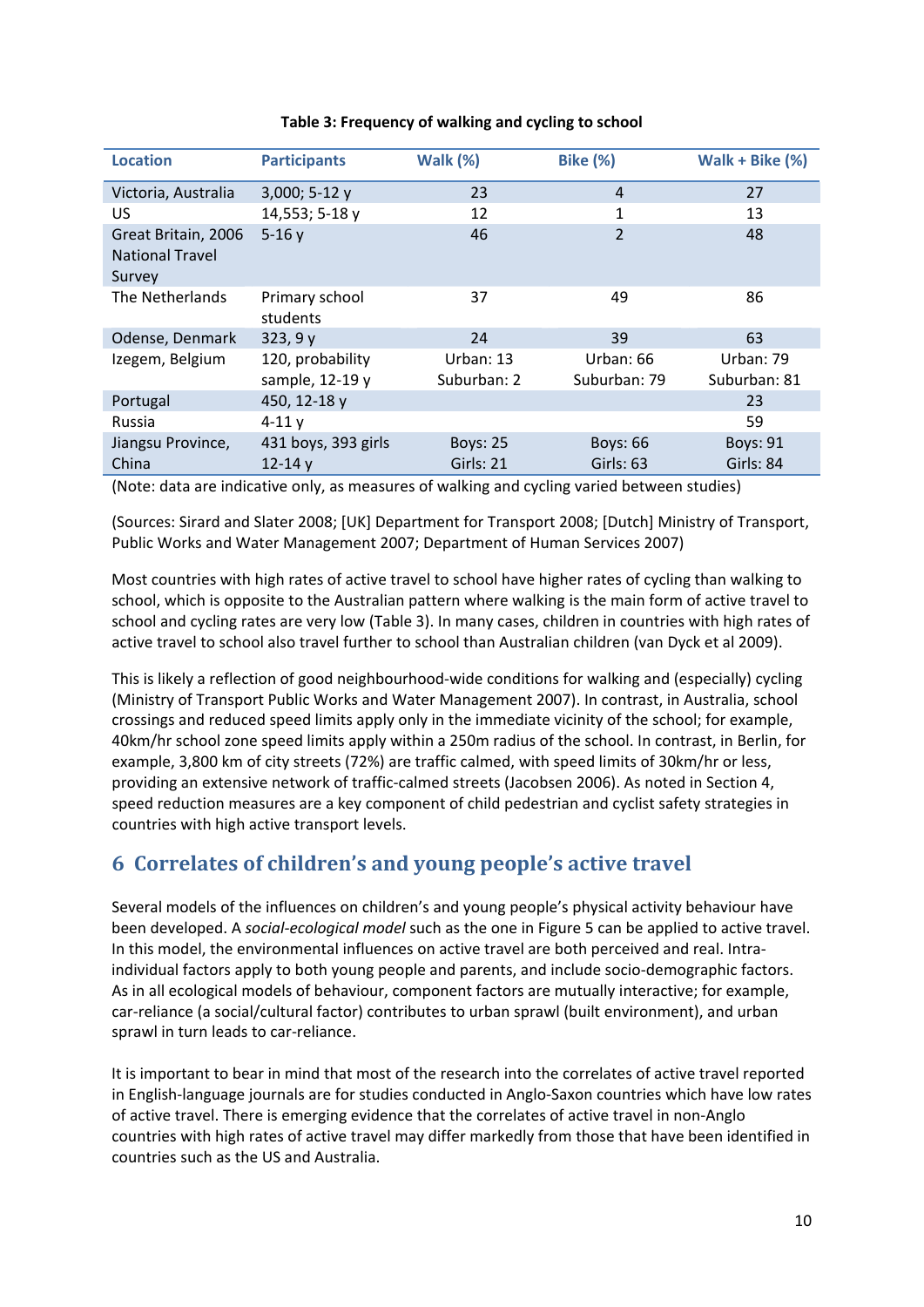| <b>Location</b>        | <b>Participants</b> | <b>Walk (%)</b> | <b>Bike (%)</b> | Walk + Bike $(\%)$ |
|------------------------|---------------------|-----------------|-----------------|--------------------|
| Victoria, Australia    | 3,000; 5-12 $y$     | 23              | $\overline{4}$  | 27                 |
| US.                    | 14,553; 5-18 y      | 12              | 1               | 13                 |
| Great Britain, 2006    | $5-16y$             | 46              | $\overline{2}$  | 48                 |
| <b>National Travel</b> |                     |                 |                 |                    |
| Survey                 |                     |                 |                 |                    |
| The Netherlands        | Primary school      | 37              | 49              | 86                 |
|                        | students            |                 |                 |                    |
| Odense, Denmark        | 323, 9y             | 24              | 39              | 63                 |
| Izegem, Belgium        | 120, probability    | Urban: $13$     | Urban: 66       | Urban: 79          |
|                        | sample, 12-19 y     | Suburban: 2     | Suburban: 79    | Suburban: 81       |
| Portugal               | 450, 12-18 y        |                 |                 | 23                 |
| Russia                 | $4-11y$             |                 |                 | 59                 |
| Jiangsu Province,      | 431 boys, 393 girls | <b>Boys: 25</b> | <b>Boys: 66</b> | <b>Boys: 91</b>    |
| China                  | $12 - 14y$          | Girls: 21       | Girls: 63       | Girls: 84          |

#### **Table 3: Frequency of walking and cycling to school**

(Note: data are indicative only, as measures of walking and cycling varied between studies)

(Sources: Sirard and Slater 2008; [UK] Department for Transport 2008; [Dutch] Ministry of Transport, Public Works and Water Management 2007; Department of Human Services 2007)

Most countries with high rates of active travel to school have higher rates of cycling than walking to school, which is opposite to the Australian pattern where walking is the main form of active travel to school and cycling rates are very low (Table 3). In many cases, children in countries with high rates of active travel to school also travel further to school than Australian children (van Dyck et al 2009).

This is likely a reflection of good neighbourhood‐wide conditions for walking and (especially) cycling (Ministry of Transport Public Works and Water Management 2007). In contrast, in Australia, school crossings and reduced speed limits apply only in the immediate vicinity of the school; for example, 40km/hr school zone speed limits apply within a 250m radius of the school. In contrast, in Berlin, for example, 3,800 km of city streets (72%) are traffic calmed, with speed limits of 30km/hr or less, providing an extensive network of traffic‐calmed streets (Jacobsen 2006). As noted in Section 4, speed reduction measures are a key component of child pedestrian and cyclist safety strategies in countries with high active transport levels.

## **6 Correlates of children's and young people's active travel**

Several models of the influences on children's and young people's physical activity behaviour have been developed. A *social‐ecological model* such as the one in Figure 5 can be applied to active travel. In this model, the environmental influences on active travel are both perceived and real. Intraindividual factors apply to both young people and parents, and include socio‐demographic factors. As in all ecological models of behaviour, component factors are mutually interactive; for example, car-reliance (a social/cultural factor) contributes to urban sprawl (built environment), and urban sprawl in turn leads to car-reliance.

It is important to bear in mind that most of the research into the correlates of active travel reported in English‐language journals are for studies conducted in Anglo‐Saxon countries which have low rates of active travel. There is emerging evidence that the correlates of active travel in non‐Anglo countries with high rates of active travel may differ markedly from those that have been identified in countries such as the US and Australia.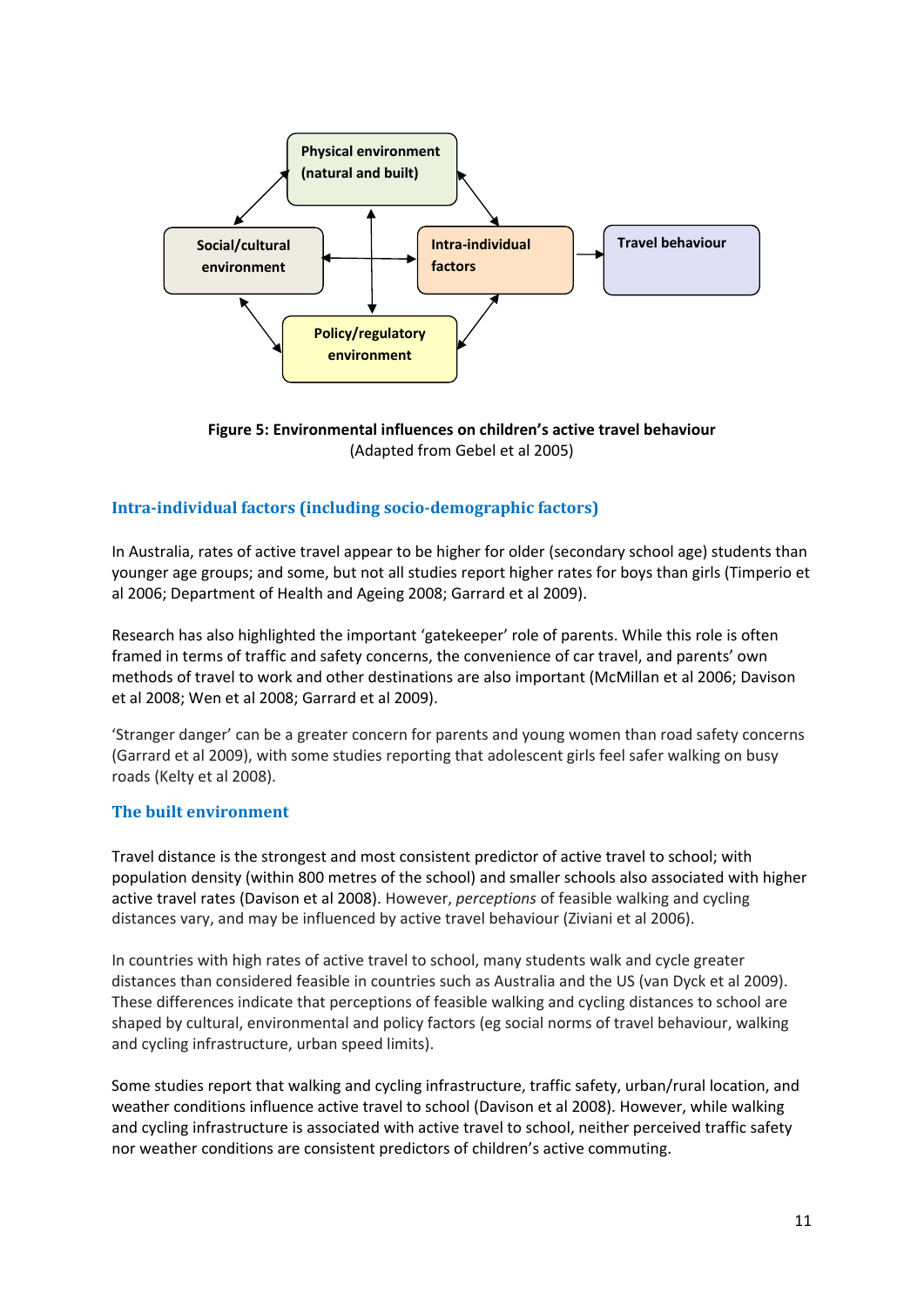

**Figure 5: Environmental influences on children's active travel behaviour** (Adapted from Gebel et al 2005)

### **Intraindividual factors (including sociodemographic factors)**

In Australia, rates of active travel appear to be higher for older (secondary school age) students than younger age groups; and some, but not all studies report higher rates for boys than girls (Timperio et al 2006; Department of Health and Ageing 2008; Garrard et al 2009).

Research has also highlighted the important 'gatekeeper' role of parents. While this role is often framed in terms of traffic and safety concerns, the convenience of car travel, and parents' own methods of travel to work and other destinations are also important (McMillan et al 2006; Davison et al 2008; Wen et al 2008; Garrard et al 2009).

'Stranger danger' can be a greater concern for parents and young women than road safety concerns (Garrard et al 2009), with some studies reporting that adolescent girls feel safer walking on busy roads (Kelty et al 2008).

#### **The built environment**

Travel distance is the strongest and most consistent predictor of active travel to school; with population density (within 800 metres of the school) and smaller schools also associated with higher active travel rates (Davison et al 2008). However, *perceptions* of feasible walking and cycling distances vary, and may be influenced by active travel behaviour (Ziviani et al 2006).

In countries with high rates of active travel to school, many students walk and cycle greater distances than considered feasible in countries such as Australia and the US (van Dyck et al 2009). These differences indicate that perceptions of feasible walking and cycling distances to school are shaped by cultural, environmental and policy factors (eg social norms of travel behaviour, walking and cycling infrastructure, urban speed limits).

Some studies report that walking and cycling infrastructure, traffic safety, urban/rural location, and weather conditions influence active travel to school (Davison et al 2008). However, while walking and cycling infrastructure is associated with active travel to school, neither perceived traffic safety nor weather conditions are consistent predictors of children's active commuting.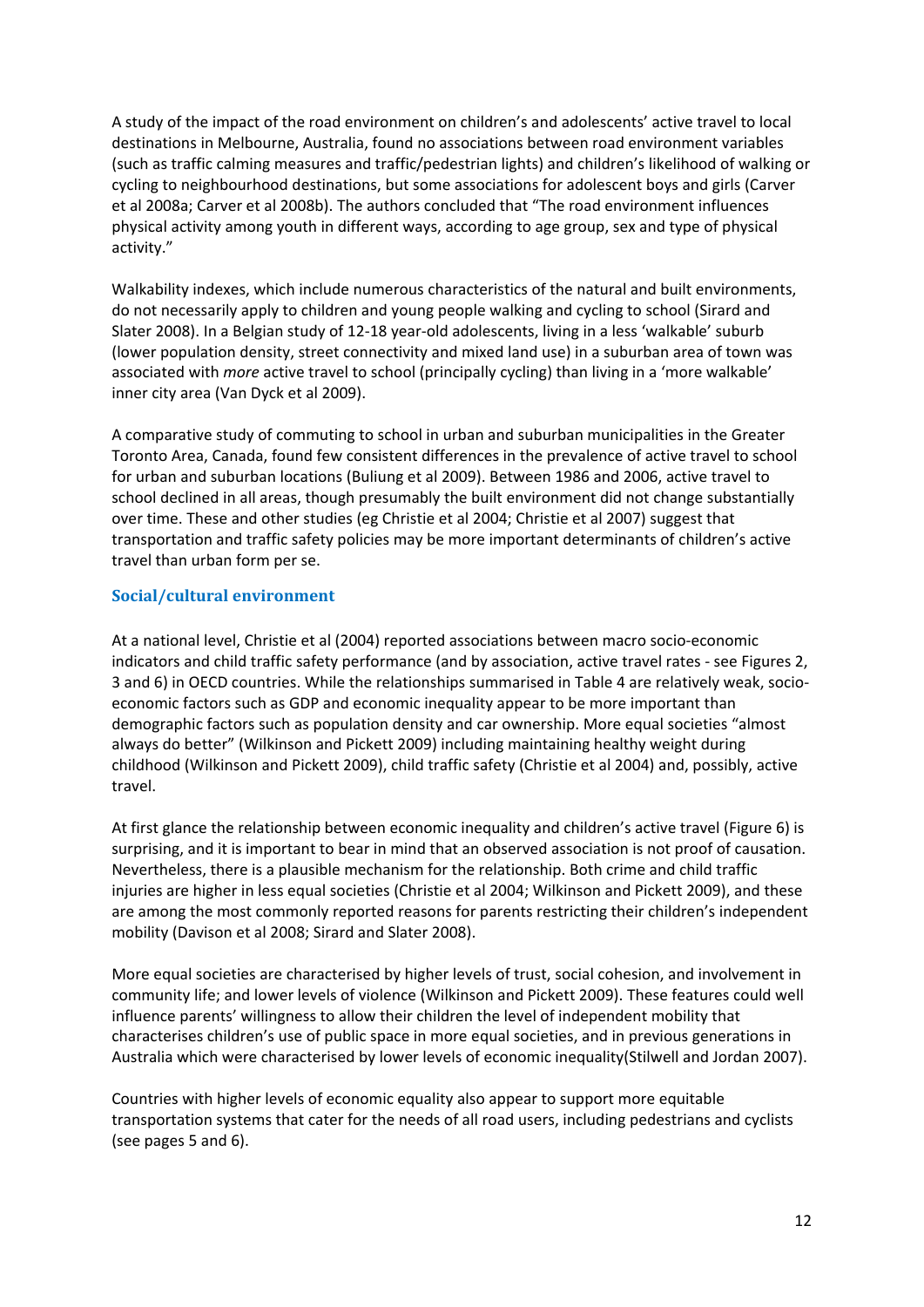A study of the impact of the road environment on children's and adolescents' active travel to local destinations in Melbourne, Australia, found no associations between road environment variables (such as traffic calming measures and traffic/pedestrian lights) and children's likelihood of walking or cycling to neighbourhood destinations, but some associations for adolescent boys and girls (Carver et al 2008a; Carver et al 2008b). The authors concluded that "The road environment influences physical activity among youth in different ways, according to age group, sex and type of physical activity."

Walkability indexes, which include numerous characteristics of the natural and built environments, do not necessarily apply to children and young people walking and cycling to school (Sirard and Slater 2008). In a Belgian study of 12‐18 year‐old adolescents, living in a less 'walkable' suburb (lower population density, street connectivity and mixed land use) in a suburban area of town was associated with *more* active travel to school (principally cycling) than living in a 'more walkable' inner city area (Van Dyck et al 2009).

A comparative study of commuting to school in urban and suburban municipalities in the Greater Toronto Area, Canada, found few consistent differences in the prevalence of active travel to school for urban and suburban locations (Buliung et al 2009). Between 1986 and 2006, active travel to school declined in all areas, though presumably the built environment did not change substantially over time. These and other studies (eg Christie et al 2004; Christie et al 2007) suggest that transportation and traffic safety policies may be more important determinants of children's active travel than urban form per se.

#### **Social/cultural environment**

At a national level, Christie et al (2004) reported associations between macro socio‐economic indicators and child traffic safety performance (and by association, active travel rates ‐ see Figures 2, 3 and 6) in OECD countries. While the relationships summarised in Table 4 are relatively weak, socio‐ economic factors such as GDP and economic inequality appear to be more important than demographic factors such as population density and car ownership. More equal societies "almost always do better" (Wilkinson and Pickett 2009) including maintaining healthy weight during childhood (Wilkinson and Pickett 2009), child traffic safety (Christie et al 2004) and, possibly, active travel.

At first glance the relationship between economic inequality and children's active travel (Figure 6) is surprising, and it is important to bear in mind that an observed association is not proof of causation. Nevertheless, there is a plausible mechanism for the relationship. Both crime and child traffic injuries are higher in less equal societies (Christie et al 2004; Wilkinson and Pickett 2009), and these are among the most commonly reported reasons for parents restricting their children's independent mobility (Davison et al 2008; Sirard and Slater 2008).

More equal societies are characterised by higher levels of trust, social cohesion, and involvement in community life; and lower levels of violence (Wilkinson and Pickett 2009). These features could well influence parents' willingness to allow their children the level of independent mobility that characterises children's use of public space in more equal societies, and in previous generations in Australia which were characterised by lower levels of economic inequality(Stilwell and Jordan 2007).

Countries with higher levels of economic equality also appear to support more equitable transportation systems that cater for the needs of all road users, including pedestrians and cyclists (see pages 5 and 6).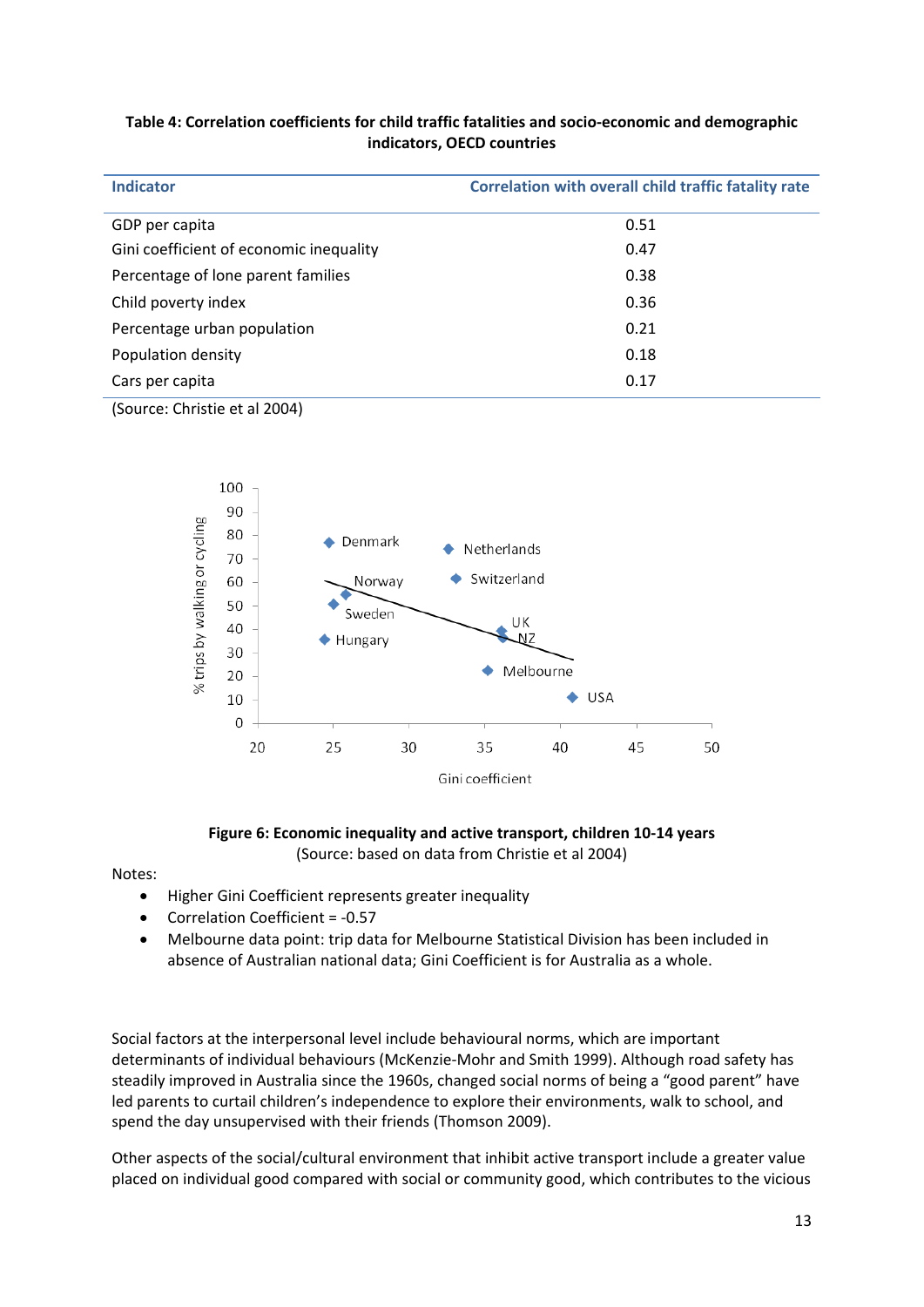#### **Table 4: Correlation coefficients for child traffic fatalities and socio‐economic and demographic indicators, OECD countries**

| <b>Indicator</b>                        | Correlation with overall child traffic fatality rate |  |  |
|-----------------------------------------|------------------------------------------------------|--|--|
| GDP per capita                          | 0.51                                                 |  |  |
| Gini coefficient of economic inequality | 0.47                                                 |  |  |
| Percentage of lone parent families      | 0.38                                                 |  |  |
| Child poverty index                     | 0.36                                                 |  |  |
| Percentage urban population             | 0.21                                                 |  |  |
| Population density                      | 0.18                                                 |  |  |
| Cars per capita                         | 0.17                                                 |  |  |

(Source: Christie et al 2004)



**Figure 6: Economic inequality and active transport, children 10‐14 years** (Source: based on data from Christie et al 2004)

Notes:

- Higher Gini Coefficient represents greater inequality
- Correlation Coefficient = -0.57
- Melbourne data point: trip data for Melbourne Statistical Division has been included in absence of Australian national data; Gini Coefficient is for Australia as a whole.

Social factors at the interpersonal level include behavioural norms, which are important determinants of individual behaviours (McKenzie‐Mohr and Smith 1999). Although road safety has steadily improved in Australia since the 1960s, changed social norms of being a "good parent" have led parents to curtail children's independence to explore their environments, walk to school, and spend the day unsupervised with their friends (Thomson 2009).

Other aspects of the social/cultural environment that inhibit active transport include a greater value placed on individual good compared with social or community good, which contributes to the vicious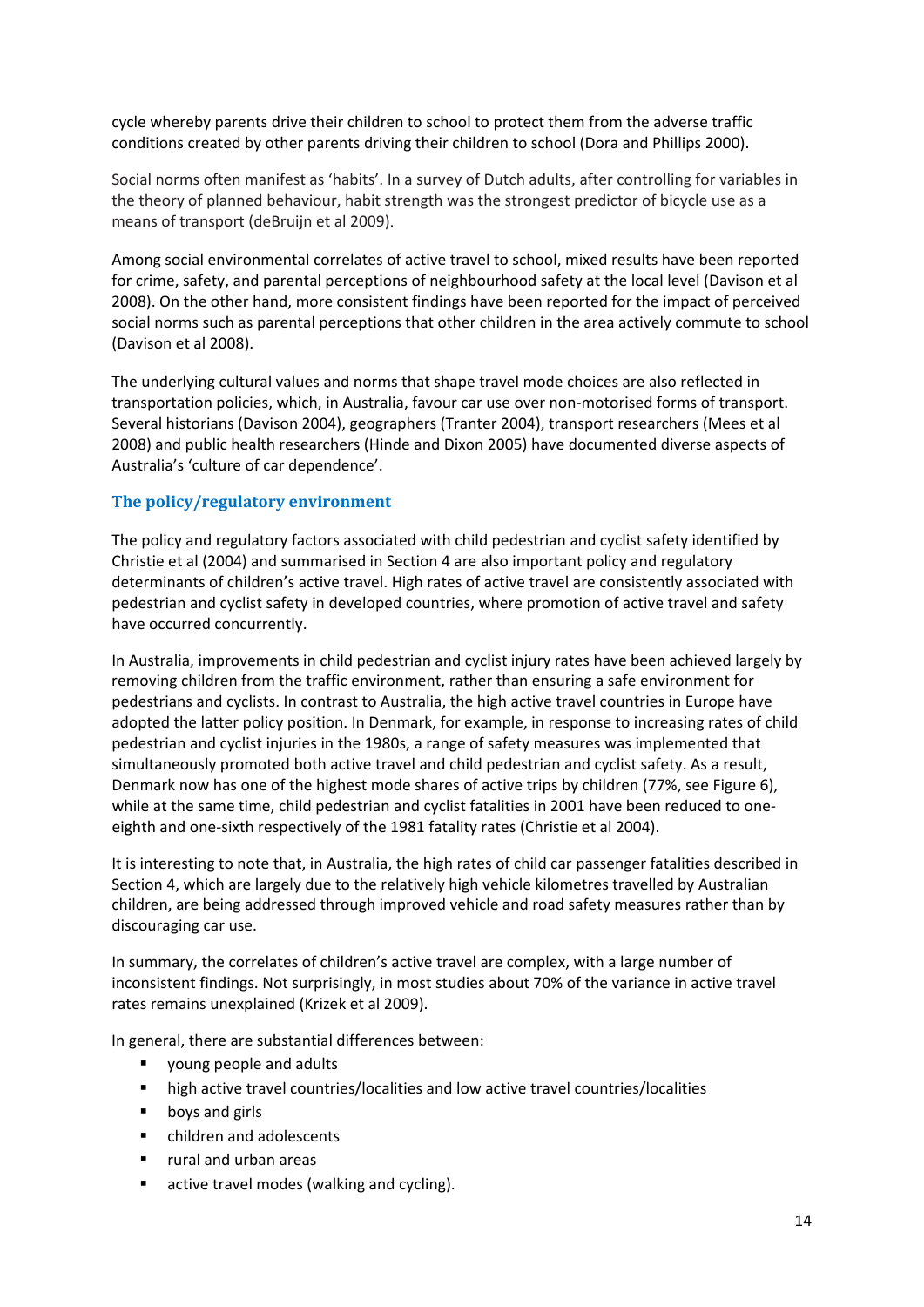cycle whereby parents drive their children to school to protect them from the adverse traffic conditions created by other parents driving their children to school (Dora and Phillips 2000).

Social norms often manifest as 'habits'. In a survey of Dutch adults, after controlling for variables in the theory of planned behaviour, habit strength was the strongest predictor of bicycle use as a means of transport (deBruijn et al 2009).

Among social environmental correlates of active travel to school, mixed results have been reported for crime, safety, and parental perceptions of neighbourhood safety at the local level (Davison et al 2008). On the other hand, more consistent findings have been reported for the impact of perceived social norms such as parental perceptions that other children in the area actively commute to school (Davison et al 2008).

The underlying cultural values and norms that shape travel mode choices are also reflected in transportation policies, which, in Australia, favour car use over non-motorised forms of transport. Several historians (Davison 2004), geographers (Tranter 2004), transport researchers (Mees et al 2008) and public health researchers (Hinde and Dixon 2005) have documented diverse aspects of Australia's 'culture of car dependence'.

#### **The policy/regulatory environment**

The policy and regulatory factors associated with child pedestrian and cyclist safety identified by Christie et al (2004) and summarised in Section 4 are also important policy and regulatory determinants of children's active travel. High rates of active travel are consistently associated with pedestrian and cyclist safety in developed countries, where promotion of active travel and safety have occurred concurrently.

In Australia, improvements in child pedestrian and cyclist injury rates have been achieved largely by removing children from the traffic environment, rather than ensuring a safe environment for pedestrians and cyclists. In contrast to Australia, the high active travel countries in Europe have adopted the latter policy position. In Denmark, for example, in response to increasing rates of child pedestrian and cyclist injuries in the 1980s, a range of safety measures was implemented that simultaneously promoted both active travel and child pedestrian and cyclist safety. As a result, Denmark now has one of the highest mode shares of active trips by children (77%, see Figure 6), while at the same time, child pedestrian and cyclist fatalities in 2001 have been reduced to oneeighth and one‐sixth respectively of the 1981 fatality rates (Christie et al 2004).

It is interesting to note that, in Australia, the high rates of child car passenger fatalities described in Section 4, which are largely due to the relatively high vehicle kilometres travelled by Australian children, are being addressed through improved vehicle and road safety measures rather than by discouraging car use.

In summary, the correlates of children's active travel are complex, with a large number of inconsistent findings. Not surprisingly, in most studies about 70% of the variance in active travel rates remains unexplained (Krizek et al 2009).

In general, there are substantial differences between:

- young people and adults
- high active travel countries/localities and low active travel countries/localities
- boys and girls
- children and adolescents
- **F** rural and urban areas
- active travel modes (walking and cycling).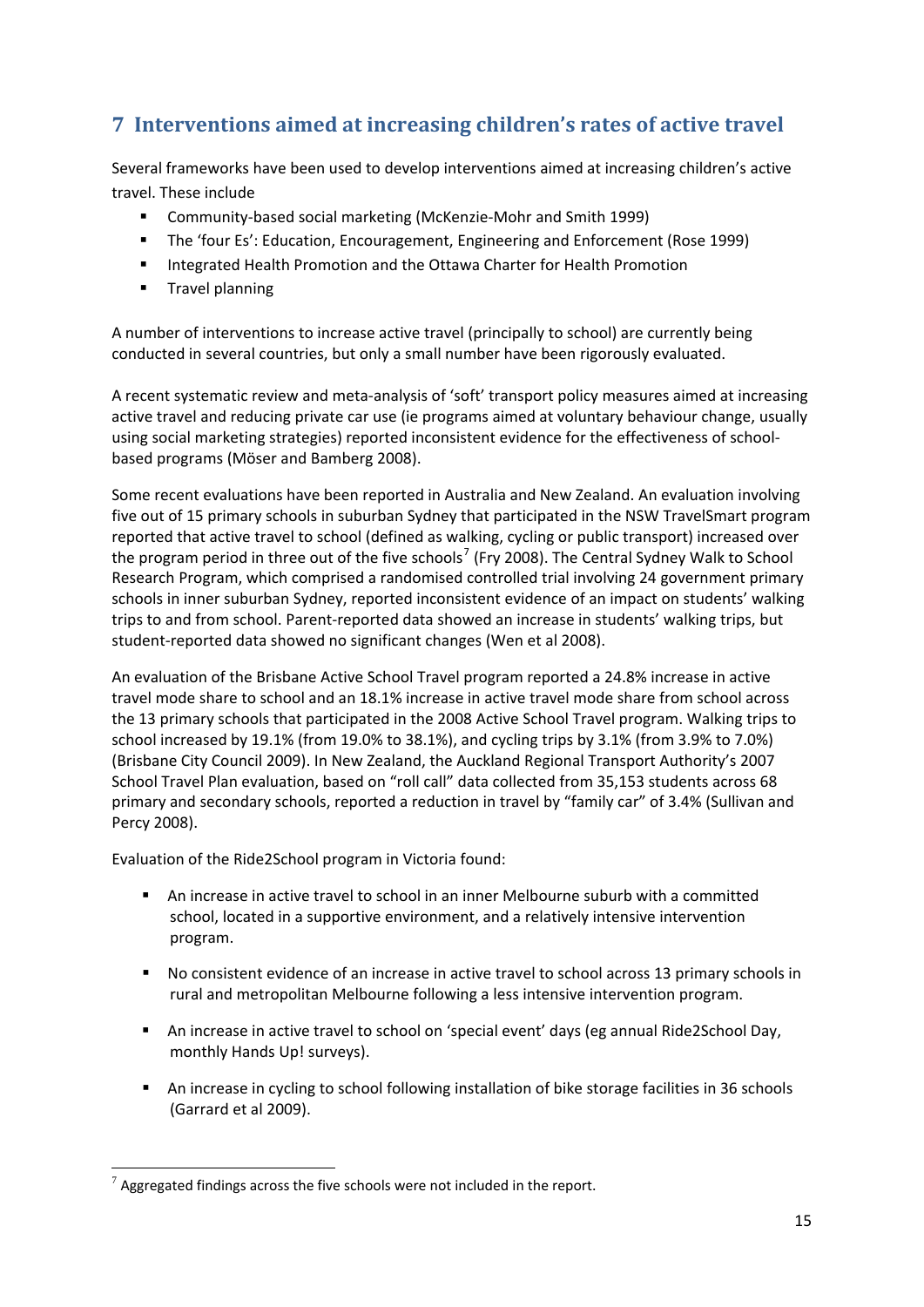# **7 Interventions aimed at increasing children's rates of active travel**

Several frameworks have been used to develop interventions aimed at increasing children's active travel. These include

- Community-based social marketing (McKenzie-Mohr and Smith 1999)
- The 'four Es': Education, Encouragement, Engineering and Enforcement (Rose 1999)
- **Integrated Health Promotion and the Ottawa Charter for Health Promotion**
- **Travel planning**

A number of interventions to increase active travel (principally to school) are currently being conducted in several countries, but only a small number have been rigorously evaluated.

A recent systematic review and meta‐analysis of 'soft' transport policy measures aimed at increasing active travel and reducing private car use (ie programs aimed at voluntary behaviour change, usually using social marketing strategies) reported inconsistent evidence for the effectiveness of schoolbased programs (Möser and Bamberg 2008).

Some recent evaluations have been reported in Australia and New Zealand. An evaluation involving five out of 15 primary schools in suburban Sydney that participated in the NSW TravelSmart program reported that active travel to school (defined as walking, cycling or public transport) increased over the program period in three out of the five schools<sup>[7](#page-15-0)</sup> (Fry 2008). The Central Sydney Walk to School Research Program, which comprised a randomised controlled trial involving 24 government primary schools in inner suburban Sydney, reported inconsistent evidence of an impact on students' walking trips to and from school. Parent‐reported data showed an increase in students' walking trips, but student‐reported data showed no significant changes (Wen et al 2008).

An evaluation of the Brisbane Active School Travel program reported a 24.8% increase in active travel mode share to school and an 18.1% increase in active travel mode share from school across the 13 primary schools that participated in the 2008 Active School Travel program. Walking trips to school increased by 19.1% (from 19.0% to 38.1%), and cycling trips by 3.1% (from 3.9% to 7.0%) (Brisbane City Council 2009). In New Zealand, the Auckland Regional Transport Authority's 2007 School Travel Plan evaluation, based on "roll call" data collected from 35,153 students across 68 primary and secondary schools, reported a reduction in travel by "family car" of 3.4% (Sullivan and Percy 2008).

Evaluation of the Ride2School program in Victoria found:

- An increase in active travel to school in an inner Melbourne suburb with a committed school, located in a supportive environment, and a relatively intensive intervention program.
- No consistent evidence of an increase in active travel to school across 13 primary schools in rural and metropolitan Melbourne following a less intensive intervention program.
- An increase in active travel to school on 'special event' days (eg annual Ride2School Day, monthly Hands Up! surveys).
- An increase in cycling to school following installation of bike storage facilities in 36 schools (Garrard et al 2009).

<span id="page-15-0"></span>  $7$  Aggregated findings across the five schools were not included in the report.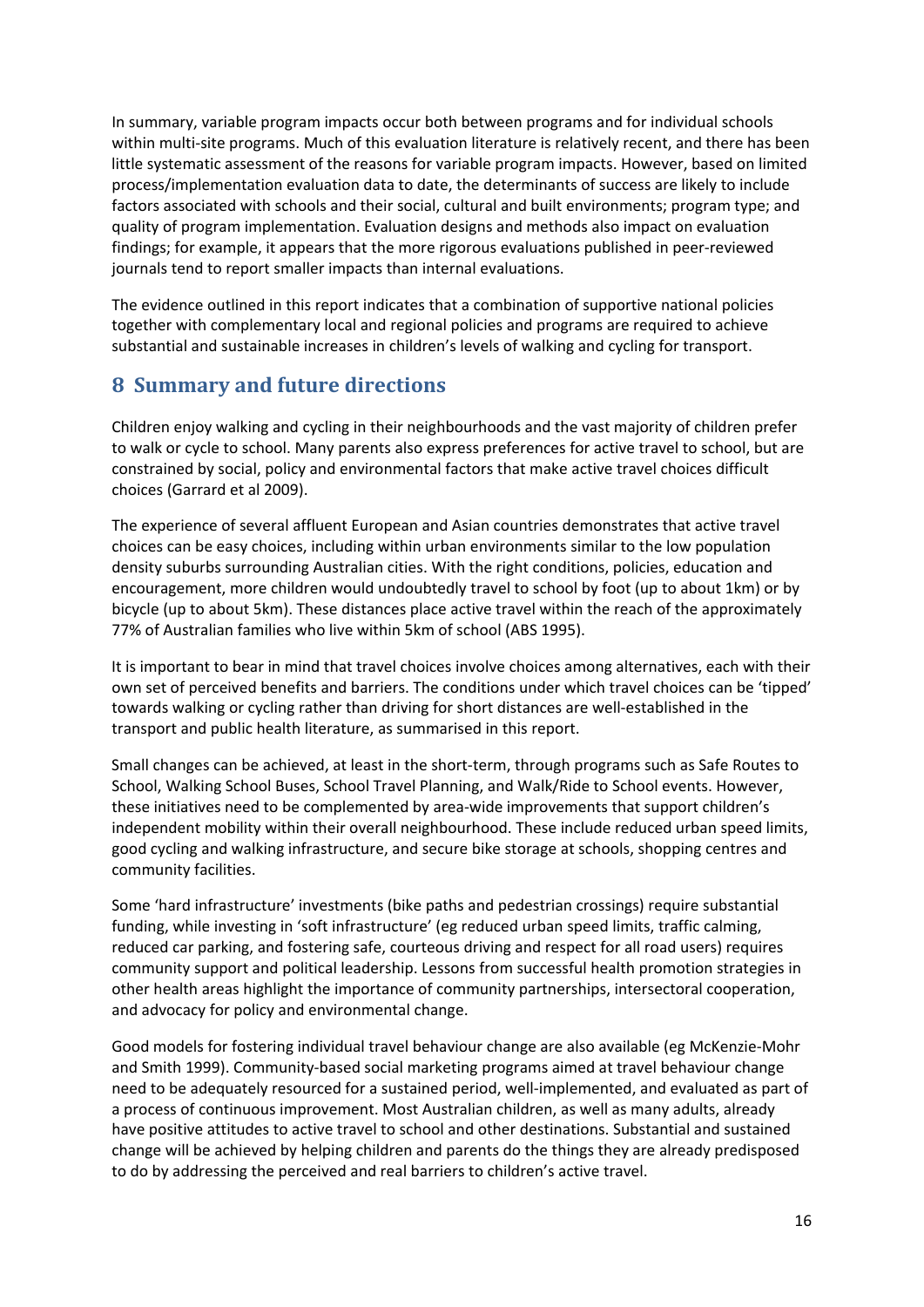In summary, variable program impacts occur both between programs and for individual schools within multi-site programs. Much of this evaluation literature is relatively recent, and there has been little systematic assessment of the reasons for variable program impacts. However, based on limited process/implementation evaluation data to date, the determinants of success are likely to include factors associated with schools and their social, cultural and built environments; program type; and quality of program implementation. Evaluation designs and methods also impact on evaluation findings; for example, it appears that the more rigorous evaluations published in peer‐reviewed journals tend to report smaller impacts than internal evaluations.

The evidence outlined in this report indicates that a combination of supportive national policies together with complementary local and regional policies and programs are required to achieve substantial and sustainable increases in children's levels of walking and cycling for transport.

## **8 Summary and future directions**

Children enjoy walking and cycling in their neighbourhoods and the vast majority of children prefer to walk or cycle to school. Many parents also express preferences for active travel to school, but are constrained by social, policy and environmental factors that make active travel choices difficult choices (Garrard et al 2009).

The experience of several affluent European and Asian countries demonstrates that active travel choices can be easy choices, including within urban environments similar to the low population density suburbs surrounding Australian cities. With the right conditions, policies, education and encouragement, more children would undoubtedly travel to school by foot (up to about 1km) or by bicycle (up to about 5km). These distances place active travel within the reach of the approximately 77% of Australian families who live within 5km of school (ABS 1995).

It is important to bear in mind that travel choices involve choices among alternatives, each with their own set of perceived benefits and barriers. The conditions under which travel choices can be 'tipped' towards walking or cycling rather than driving for short distances are well‐established in the transport and public health literature, as summarised in this report.

Small changes can be achieved, at least in the short-term, through programs such as Safe Routes to School, Walking School Buses, School Travel Planning, and Walk/Ride to School events. However, these initiatives need to be complemented by area‐wide improvements that support children's independent mobility within their overall neighbourhood. These include reduced urban speed limits, good cycling and walking infrastructure, and secure bike storage at schools, shopping centres and community facilities.

Some 'hard infrastructure' investments (bike paths and pedestrian crossings) require substantial funding, while investing in 'soft infrastructure' (eg reduced urban speed limits, traffic calming, reduced car parking, and fostering safe, courteous driving and respect for all road users) requires community support and political leadership. Lessons from successful health promotion strategies in other health areas highlight the importance of community partnerships, intersectoral cooperation, and advocacy for policy and environmental change.

Good models for fostering individual travel behaviour change are also available (eg McKenzie‐Mohr and Smith 1999). Community‐based social marketing programs aimed at travel behaviour change need to be adequately resourced for a sustained period, well‐implemented, and evaluated as part of a process of continuous improvement. Most Australian children, as well as many adults, already have positive attitudes to active travel to school and other destinations. Substantial and sustained change will be achieved by helping children and parents do the things they are already predisposed to do by addressing the perceived and real barriers to children's active travel.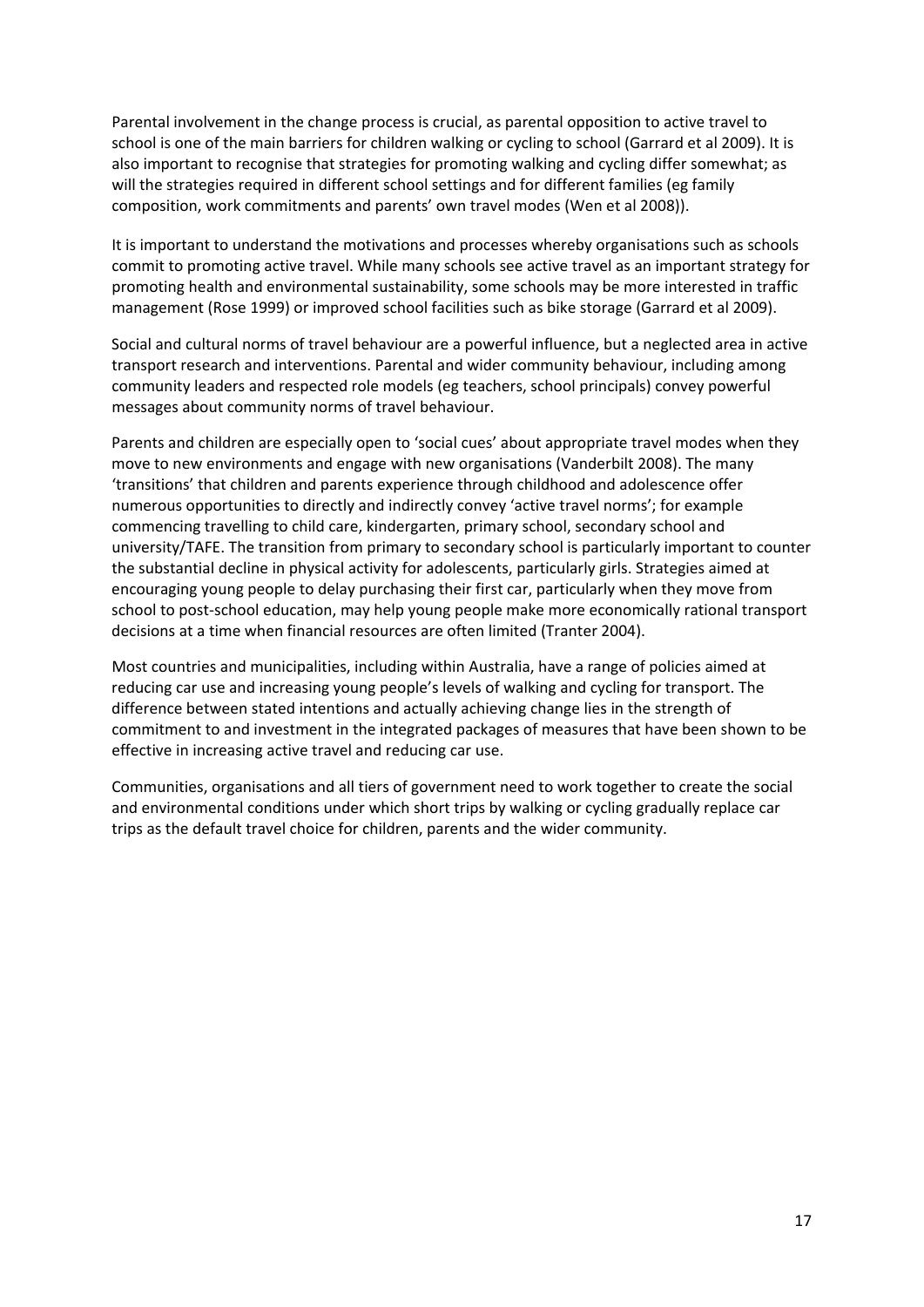Parental involvement in the change process is crucial, as parental opposition to active travel to school is one of the main barriers for children walking or cycling to school (Garrard et al 2009). It is also important to recognise that strategies for promoting walking and cycling differ somewhat; as will the strategies required in different school settings and for different families (eg family composition, work commitments and parents' own travel modes (Wen et al 2008)).

It is important to understand the motivations and processes whereby organisations such as schools commit to promoting active travel. While many schools see active travel as an important strategy for promoting health and environmental sustainability, some schools may be more interested in traffic management (Rose 1999) or improved school facilities such as bike storage (Garrard et al 2009).

Social and cultural norms of travel behaviour are a powerful influence, but a neglected area in active transport research and interventions. Parental and wider community behaviour, including among community leaders and respected role models (eg teachers, school principals) convey powerful messages about community norms of travel behaviour.

Parents and children are especially open to 'social cues' about appropriate travel modes when they move to new environments and engage with new organisations (Vanderbilt 2008). The many 'transitions' that children and parents experience through childhood and adolescence offer numerous opportunities to directly and indirectly convey 'active travel norms'; for example commencing travelling to child care, kindergarten, primary school, secondary school and university/TAFE. The transition from primary to secondary school is particularly important to counter the substantial decline in physical activity for adolescents, particularly girls. Strategies aimed at encouraging young people to delay purchasing their first car, particularly when they move from school to post‐school education, may help young people make more economically rational transport decisions at a time when financial resources are often limited (Tranter 2004).

Most countries and municipalities, including within Australia, have a range of policies aimed at reducing car use and increasing young people's levels of walking and cycling for transport. The difference between stated intentions and actually achieving change lies in the strength of commitment to and investment in the integrated packages of measures that have been shown to be effective in increasing active travel and reducing car use.

Communities, organisations and all tiers of government need to work together to create the social and environmental conditions under which short trips by walking or cycling gradually replace car trips as the default travel choice for children, parents and the wider community.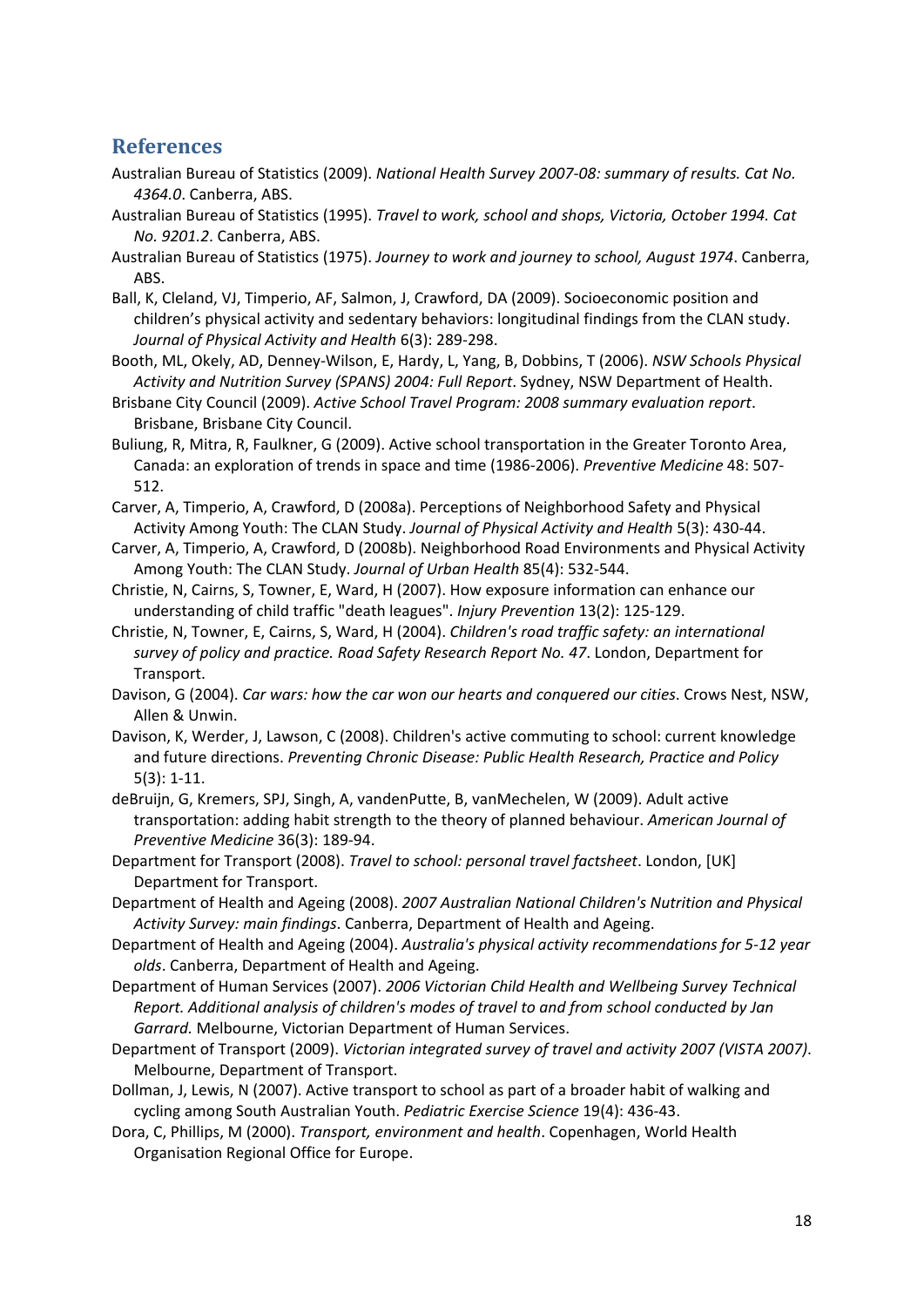## **References**

- Australian Bureau of Statistics (2009). *National Health Survey 2007‐08: summary of results. Cat No. 4364.0*. Canberra, ABS.
- Australian Bureau of Statistics (1995). *Travel to work, school and shops, Victoria, October 1994. Cat No. 9201.2*. Canberra, ABS.
- Australian Bureau of Statistics (1975). *Journey to work and journey to school, August 1974*. Canberra, ABS.
- Ball, K, Cleland, VJ, Timperio, AF, Salmon, J, Crawford, DA (2009). Socioeconomic position and children's physical activity and sedentary behaviors: longitudinal findings from the CLAN study. *Journal of Physical Activity and Health* 6(3): 289‐298.
- Booth, ML, Okely, AD, Denney‐Wilson, E, Hardy, L, Yang, B, Dobbins, T (2006). *NSW Schools Physical Activity and Nutrition Survey (SPANS) 2004: Full Report*. Sydney, NSW Department of Health.
- Brisbane City Council (2009). *Active School Travel Program: 2008 summary evaluation report*. Brisbane, Brisbane City Council.
- Buliung, R, Mitra, R, Faulkner, G (2009). Active school transportation in the Greater Toronto Area, Canada: an exploration of trends in space and time (1986‐2006). *Preventive Medicine* 48: 507‐ 512.
- Carver, A, Timperio, A, Crawford, D (2008a). Perceptions of Neighborhood Safety and Physical Activity Among Youth: The CLAN Study. *Journal of Physical Activity and Health* 5(3): 430‐44.
- Carver, A, Timperio, A, Crawford, D (2008b). Neighborhood Road Environments and Physical Activity Among Youth: The CLAN Study. *Journal of Urban Health* 85(4): 532‐544.
- Christie, N, Cairns, S, Towner, E, Ward, H (2007). How exposure information can enhance our understanding of child traffic "death leagues". *Injury Prevention* 13(2): 125‐129.
- Christie, N, Towner, E, Cairns, S, Ward, H (2004). *Children's road traffic safety: an international survey of policy and practice. Road Safety Research Report No. 47*. London, Department for Transport.
- Davison, G (2004). *Car wars: how the car won our hearts and conquered our cities*. Crows Nest, NSW, Allen & Unwin.
- Davison, K, Werder, J, Lawson, C (2008). Children's active commuting to school: current knowledge and future directions. *Preventing Chronic Disease: Public Health Research, Practice and Policy* 5(3): 1‐11.
- deBruijn, G, Kremers, SPJ, Singh, A, vandenPutte, B, vanMechelen, W (2009). Adult active transportation: adding habit strength to the theory of planned behaviour. *American Journal of Preventive Medicine* 36(3): 189‐94.
- Department for Transport (2008). *Travel to school: personal travel factsheet*. London, [UK] Department for Transport.
- Department of Health and Ageing (2008). *2007 Australian National Children's Nutrition and Physical Activity Survey: main findings*. Canberra, Department of Health and Ageing.
- Department of Health and Ageing (2004). *Australia's physical activity recommendations for 5‐12 year olds*. Canberra, Department of Health and Ageing.
- Department of Human Services (2007). *2006 Victorian Child Health and Wellbeing Survey Technical Report. Additional analysis of children's modes of travel to and from school conducted by Jan Garrard.* Melbourne, Victorian Department of Human Services.
- Department of Transport (2009). *Victorian integrated survey of travel and activity 2007 (VISTA 2007)*. Melbourne, Department of Transport.
- Dollman, J, Lewis, N (2007). Active transport to school as part of a broader habit of walking and cycling among South Australian Youth. *Pediatric Exercise Science* 19(4): 436‐43.
- Dora, C, Phillips, M (2000). *Transport, environment and health*. Copenhagen, World Health Organisation Regional Office for Europe.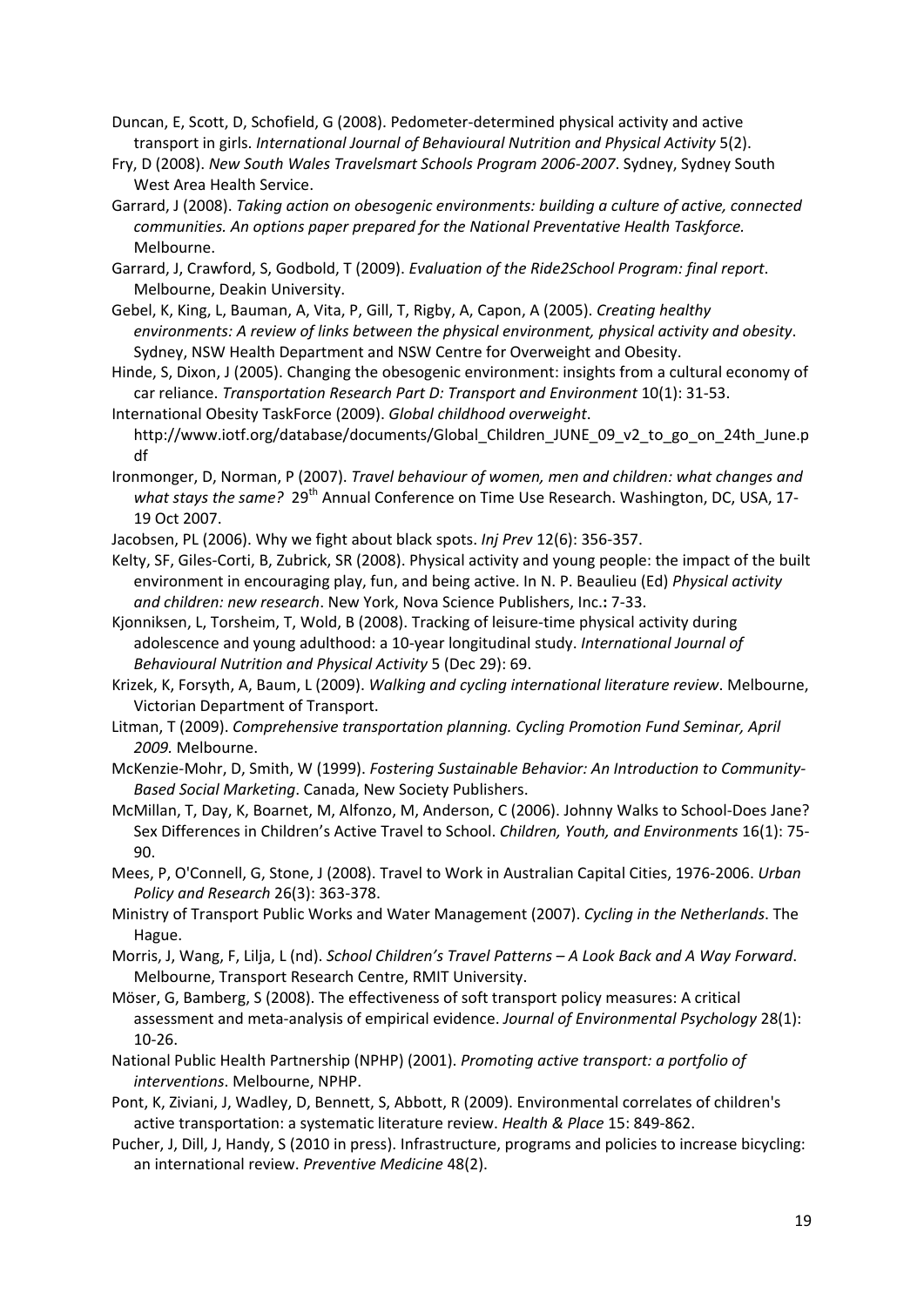- Duncan, E, Scott, D, Schofield, G (2008). Pedometer‐determined physical activity and active transport in girls. *International Journal of Behavioural Nutrition and Physical Activity* 5(2).
- Fry, D (2008). *New South Wales Travelsmart Schools Program 2006‐2007*. Sydney, Sydney South West Area Health Service.
- Garrard, J (2008). *Taking action on obesogenic environments: building a culture of active, connected communities. An options paper prepared for the National Preventative Health Taskforce.* Melbourne.
- Garrard, J, Crawford, S, Godbold, T (2009). *Evaluation of the Ride2School Program: final report*. Melbourne, Deakin University.
- Gebel, K, King, L, Bauman, A, Vita, P, Gill, T, Rigby, A, Capon, A (2005). *Creating healthy environments: A review of links between the physical environment, physical activity and obesity*. Sydney, NSW Health Department and NSW Centre for Overweight and Obesity.
- Hinde, S, Dixon, J (2005). Changing the obesogenic environment: insights from a cultural economy of car reliance. *Transportation Research Part D: Transport and Environment* 10(1): 31‐53.
- International Obesity TaskForce (2009). *Global childhood overweight*. http://www.iotf.org/database/documents/Global\_Children\_JUNE\_09\_v2\_to\_go\_on\_24th\_June.p df
- Ironmonger, D, Norman, P (2007). *Travel behaviour of women, men and children: what changes and what stays the same?* 29<sup>th</sup> Annual Conference on Time Use Research. Washington, DC, USA, 17-19 Oct 2007.
- Jacobsen, PL (2006). Why we fight about black spots. *Inj Prev* 12(6): 356‐357.
- Kelty, SF, Giles‐Corti, B, Zubrick, SR (2008). Physical activity and young people: the impact of the built environment in encouraging play, fun, and being active. In N. P. Beaulieu (Ed) *Physical activity and children: new research*. New York, Nova Science Publishers, Inc.**:** 7‐33.
- Kjonniksen, L, Torsheim, T, Wold, B (2008). Tracking of leisure-time physical activity during adolescence and young adulthood: a 10‐year longitudinal study. *International Journal of Behavioural Nutrition and Physical Activity* 5 (Dec 29): 69.
- Krizek, K, Forsyth, A, Baum, L (2009). *Walking and cycling international literature review*. Melbourne, Victorian Department of Transport.
- Litman, T (2009). *Comprehensive transportation planning. Cycling Promotion Fund Seminar, April 2009.* Melbourne.
- McKenzie‐Mohr, D, Smith, W (1999). *Fostering Sustainable Behavior: An Introduction to Community‐ Based Social Marketing*. Canada, New Society Publishers.
- McMillan, T, Day, K, Boarnet, M, Alfonzo, M, Anderson, C (2006). Johnny Walks to School‐Does Jane? Sex Differences in Children's Active Travel to School. *Children, Youth, and Environments* 16(1): 75‐ 90.
- Mees, P, O'Connell, G, Stone, J (2008). Travel to Work in Australian Capital Cities, 1976‐2006. *Urban Policy and Research* 26(3): 363‐378.
- Ministry of Transport Public Works and Water Management (2007). *Cycling in the Netherlands*. The Hague.
- Morris, J, Wang, F, Lilja, L (nd). *School Children's Travel Patterns – A Look Back and A Way Forward*. Melbourne, Transport Research Centre, RMIT University.
- Möser, G, Bamberg, S (2008). The effectiveness of soft transport policy measures: A critical assessment and meta‐analysis of empirical evidence. *Journal of Environmental Psychology* 28(1): 10‐26.
- National Public Health Partnership (NPHP) (2001). *Promoting active transport: a portfolio of interventions*. Melbourne, NPHP.
- Pont, K, Ziviani, J, Wadley, D, Bennett, S, Abbott, R (2009). Environmental correlates of children's active transportation: a systematic literature review. *Health & Place* 15: 849‐862.
- Pucher, J, Dill, J, Handy, S (2010 in press). Infrastructure, programs and policies to increase bicycling: an international review. *Preventive Medicine* 48(2).